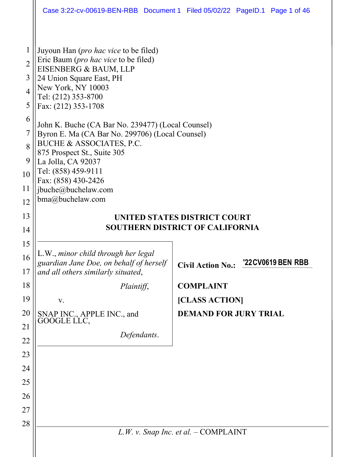|                |                                                                                                                      | Case 3:22-cv-00619-BEN-RBB Document 1 Filed 05/02/22 PageID.1 Page 1 of 46 |
|----------------|----------------------------------------------------------------------------------------------------------------------|----------------------------------------------------------------------------|
|                |                                                                                                                      |                                                                            |
| $\mathbf{1}$   | Juyoun Han (pro hac vice to be filed)                                                                                |                                                                            |
| $\overline{2}$ | Eric Baum ( <i>pro hac vice</i> to be filed)<br>EISENBERG & BAUM, LLP                                                |                                                                            |
| 3              | 24 Union Square East, PH                                                                                             |                                                                            |
| $\overline{4}$ | New York, NY 10003<br>Tel: (212) 353-8700                                                                            |                                                                            |
| 5              | Fax: (212) 353-1708                                                                                                  |                                                                            |
| 6              | John K. Buche (CA Bar No. 239477) (Local Counsel)                                                                    |                                                                            |
| 7              | Byron E. Ma (CA Bar No. 299706) (Local Counsel)                                                                      |                                                                            |
| 8              | BUCHE & ASSOCIATES, P.C.<br>875 Prospect St., Suite 305                                                              |                                                                            |
| 9              | La Jolla, CA 92037                                                                                                   |                                                                            |
| 10             | Tel: (858) 459-9111<br>Fax: (858) 430-2426                                                                           |                                                                            |
| 11             | jbuche@buchelaw.com                                                                                                  |                                                                            |
| 12             | bma@buchelaw.com                                                                                                     |                                                                            |
| 13             |                                                                                                                      | UNITED STATES DISTRICT COURT                                               |
| 14             |                                                                                                                      | <b>SOUTHERN DISTRICT OF CALIFORNIA</b>                                     |
|                |                                                                                                                      |                                                                            |
| 15             |                                                                                                                      |                                                                            |
| 16<br>17       | L.W., minor child through her legal<br>guardian Jane Doe, on behalf of herself<br>and all others similarly situated, | '22CV0619 BEN RBB<br><b>Civil Action No.:</b>                              |
| 18             | Plaintiff,                                                                                                           | <b>COMPLAINT</b>                                                           |
| 19             | V.                                                                                                                   | [CLASS ACTION]                                                             |
| 20             |                                                                                                                      | <b>DEMAND FOR JURY TRIAL</b>                                               |
| 21             | SNAP INC., APPLE INC., and<br>GOOGLE LLC,                                                                            |                                                                            |
| 22             | Defendants.                                                                                                          |                                                                            |
| 23             |                                                                                                                      |                                                                            |
| 24             |                                                                                                                      |                                                                            |
| 25             |                                                                                                                      |                                                                            |
| 26             |                                                                                                                      |                                                                            |
| 27             |                                                                                                                      |                                                                            |
| 28             |                                                                                                                      |                                                                            |
|                |                                                                                                                      | $L.W. v.$ Snap Inc. et al. $-$ COMPLAINT                                   |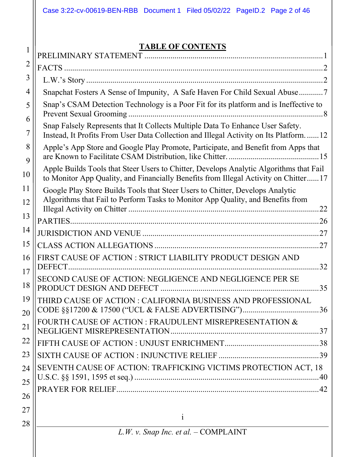## **TABLE OF CONTENTS**

|          | TADLE OF CONTENTS                                                                                                                                                             |
|----------|-------------------------------------------------------------------------------------------------------------------------------------------------------------------------------|
| 2        |                                                                                                                                                                               |
| 3        |                                                                                                                                                                               |
| 4        | Snapchat Fosters A Sense of Impunity, A Safe Haven For Child Sexual Abuse7                                                                                                    |
| 5        | Snap's CSAM Detection Technology is a Poor Fit for its platform and is Ineffective to                                                                                         |
| 6        |                                                                                                                                                                               |
| 7        | Snap Falsely Represents that It Collects Multiple Data To Enhance User Safety.<br>Instead, It Profits From User Data Collection and Illegal Activity on Its Platform12        |
| 8<br>9   | Apple's App Store and Google Play Promote, Participate, and Benefit from Apps that                                                                                            |
| 10       | Apple Builds Tools that Steer Users to Chitter, Develops Analytic Algorithms that Fail<br>to Monitor App Quality, and Financially Benefits from Illegal Activity on Chitter17 |
| 11       | Google Play Store Builds Tools that Steer Users to Chitter, Develops Analytic                                                                                                 |
| 12       | Algorithms that Fail to Perform Tasks to Monitor App Quality, and Benefits from                                                                                               |
| 13       |                                                                                                                                                                               |
| 14       |                                                                                                                                                                               |
| 15       |                                                                                                                                                                               |
| 16       | FIRST CAUSE OF ACTION : STRICT LIABILITY PRODUCT DESIGN AND<br>DEFECT.<br>32                                                                                                  |
| 17<br>18 | SECOND CAUSE OF ACTION: NEGLIGENCE AND NEGLIGENCE PER SE<br>.35                                                                                                               |
| 19       | THIRD CAUSE OF ACTION : CALIFORNIA BUSINESS AND PROFESSIONAL                                                                                                                  |
| 20       |                                                                                                                                                                               |
| 21       | FOURTH CAUSE OF ACTION : FRAUDULENT MISREPRESENTATION &                                                                                                                       |
| 22       |                                                                                                                                                                               |
| 23       |                                                                                                                                                                               |
| 24       | SEVENTH CAUSE OF ACTION: TRAFFICKING VICTIMS PROTECTION ACT, 18                                                                                                               |
| 25       |                                                                                                                                                                               |
| 26       |                                                                                                                                                                               |
| 27       |                                                                                                                                                                               |
|          |                                                                                                                                                                               |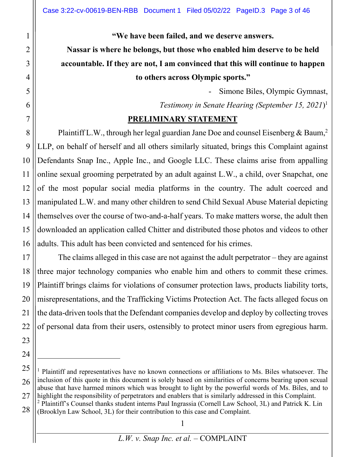**"We have been failed, and we deserve answers.**

**Nassar is where he belongs, but those who enabled him deserve to be held accountable. If they are not, I am convinced that this will continue to happen to others across Olympic sports."**

> - Simone Biles, Olympic Gymnast, *Testimony in Senate Hearing (September 15, 2021*) 1

#### **PRELIMINARY STATEMENT**

Plaintiff L.W., through her legal guardian Jane Doe and counsel Eisenberg & Baum,<sup>2</sup> LLP, on behalf of herself and all others similarly situated, brings this Complaint against Defendants Snap Inc., Apple Inc., and Google LLC. These claims arise from appalling online sexual grooming perpetrated by an adult against L.W., a child, over Snapchat, one of the most popular social media platforms in the country. The adult coerced and manipulated L.W. and many other children to send Child Sexual Abuse Material depicting themselves over the course of two-and-a-half years. To make matters worse, the adult then downloaded an application called Chitter and distributed those photos and videos to other adults. This adult has been convicted and sentenced for his crimes.

The claims alleged in this case are not against the adult perpetrator – they are against three major technology companies who enable him and others to commit these crimes. Plaintiff brings claims for violations of consumer protection laws, products liability torts, misrepresentations, and the Trafficking Victims Protection Act. The facts alleged focus on the data-driven tools that the Defendant companies develop and deploy by collecting troves of personal data from their users, ostensibly to protect minor users from egregious harm.

<sup>&</sup>lt;sup>1</sup> Plaintiff and representatives have no known connections or affiliations to Ms. Biles whatsoever. The inclusion of this quote in this document is solely based on similarities of concerns bearing upon sexual abuse that have harmed minors which was brought to light by the powerful words of Ms. Biles, and to highlight the responsibility of perpetrators and enablers that is similarly addressed in this Complaint. <sup>2</sup> Plaintiff's Counsel thanks student interns Paul Ingrassia (Cornell Law School, 3L) and Patrick K. Lin (Brooklyn Law School, 3L) for their contribution to this case and Complaint.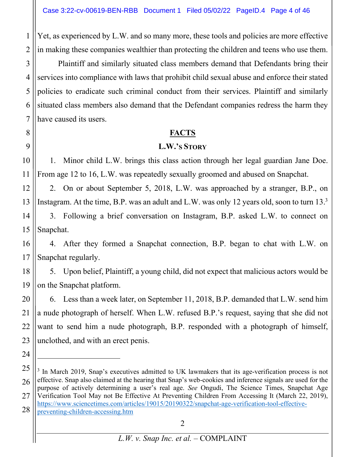Yet, as experienced by L.W. and so many more, these tools and policies are more effective in making these companies wealthier than protecting the children and teens who use them.

3 4 5 6 7 Plaintiff and similarly situated class members demand that Defendants bring their services into compliance with laws that prohibit child sexual abuse and enforce their stated policies to eradicate such criminal conduct from their services. Plaintiff and similarly situated class members also demand that the Defendant companies redress the harm they have caused its users.

#### **FACTS**

#### **L.W.'S STORY**

1. Minor child L.W. brings this class action through her legal guardian Jane Doe. From age 12 to 16, L.W. was repeatedly sexually groomed and abused on Snapchat.

2. On or about September 5, 2018, L.W. was approached by a stranger, B.P., on Instagram. At the time, B.P. was an adult and L.W. was only 12 years old, soon to turn 13.<sup>3</sup>

14 15 3. Following a brief conversation on Instagram, B.P. asked L.W. to connect on Snapchat.

16 17 4. After they formed a Snapchat connection, B.P. began to chat with L.W. on Snapchat regularly.

18 19 5. Upon belief, Plaintiff, a young child, did not expect that malicious actors would be on the Snapchat platform.

20 21 22 23 6. Less than a week later, on September 11, 2018, B.P. demanded that L.W. send him a nude photograph of herself. When L.W. refused B.P.'s request, saying that she did not want to send him a nude photograph, B.P. responded with a photograph of himself, unclothed, and with an erect penis.

1

2

8

9

10

11

12

<sup>25</sup> 26 27 28  $3$  In March 2019, Snap's executives admitted to UK lawmakers that its age-verification process is not effective. Snap also claimed at the hearing that Snap's web-cookies and inference signals are used for the purpose of actively determining a user's real age. *See* Ongudi, The Science Times, Snapchat Age Verification Tool May not Be Effective At Preventing Children From Accessing It (March 22, 2019), https://www.sciencetimes.com/articles/19015/20190322/snapchat-age-verification-tool-effectivepreventing-children-accessing.htm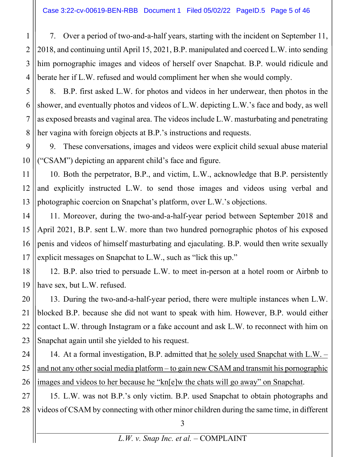7. Over a period of two-and-a-half years, starting with the incident on September 11, 2018, and continuing until April 15, 2021, B.P. manipulated and coerced L.W. into sending him pornographic images and videos of herself over Snapchat. B.P. would ridicule and berate her if L.W. refused and would compliment her when she would comply.

8. B.P. first asked L.W. for photos and videos in her underwear, then photos in the shower, and eventually photos and videos of L.W. depicting L.W.'s face and body, as well as exposed breasts and vaginal area. The videos include L.W. masturbating and penetrating her vagina with foreign objects at B.P.'s instructions and requests.

9. These conversations, images and videos were explicit child sexual abuse material ("CSAM") depicting an apparent child's face and figure.

10. Both the perpetrator, B.P., and victim, L.W., acknowledge that B.P. persistently and explicitly instructed L.W. to send those images and videos using verbal and photographic coercion on Snapchat's platform, over L.W.'s objections.

11. Moreover, during the two-and-a-half-year period between September 2018 and April 2021, B.P. sent L.W. more than two hundred pornographic photos of his exposed penis and videos of himself masturbating and ejaculating. B.P. would then write sexually explicit messages on Snapchat to L.W., such as "lick this up."

12. B.P. also tried to persuade L.W. to meet in-person at a hotel room or Airbnb to have sex, but L.W. refused.

13. During the two-and-a-half-year period, there were multiple instances when L.W. blocked B.P. because she did not want to speak with him. However, B.P. would either contact L.W. through Instagram or a fake account and ask L.W. to reconnect with him on Snapchat again until she yielded to his request.

14. At a formal investigation, B.P. admitted that he solely used Snapchat with L.W. – and not any other social media platform – to gain new CSAM and transmit his pornographic images and videos to her because he "kn[e]w the chats will go away" on Snapchat.

28 15. L.W. was not B.P.'s only victim. B.P. used Snapchat to obtain photographs and videos of CSAM by connecting with other minor children during the same time, in different

1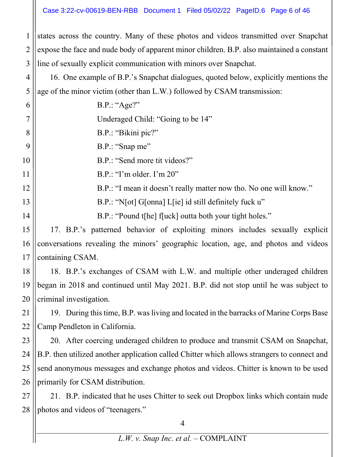states across the country. Many of these photos and videos transmitted over Snapchat expose the face and nude body of apparent minor children. B.P. also maintained a constant line of sexually explicit communication with minors over Snapchat.

1

2

3

4 5 16. One example of B.P.'s Snapchat dialogues, quoted below, explicitly mentions the age of the minor victim (other than L.W.) followed by CSAM transmission:

6 7 8 9 10 11 12 13 14 B.P.: "Age?" Underaged Child: "Going to be 14" B.P.: "Bikini pic?" B.P.: "Snap me" B.P.: "Send more tit videos?" B.P.: "I'm older. I'm 20" B.P.: "I mean it doesn't really matter now tho. No one will know." B.P.: "N[ot] G[onna] L[ie] id still definitely fuck u" B.P.: "Pound t[he] f[uck] outta both your tight holes."

15 16 17 17. B.P.'s patterned behavior of exploiting minors includes sexually explicit conversations revealing the minors' geographic location, age, and photos and videos containing CSAM.

18 19 20 18. B.P.'s exchanges of CSAM with L.W. and multiple other underaged children began in 2018 and continued until May 2021. B.P. did not stop until he was subject to criminal investigation.

21 22 19. During this time, B.P. was living and located in the barracks of Marine Corps Base Camp Pendleton in California.

23 24 25 26 20. After coercing underaged children to produce and transmit CSAM on Snapchat, B.P. then utilized another application called Chitter which allows strangers to connect and send anonymous messages and exchange photos and videos. Chitter is known to be used primarily for CSAM distribution.

27 28 21. B.P. indicated that he uses Chitter to seek out Dropbox links which contain nude photos and videos of "teenagers."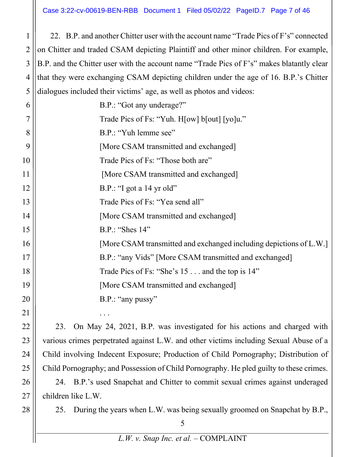22. B.P. and another Chitter user with the account name "Trade Pics of F's" connected on Chitter and traded CSAM depicting Plaintiff and other minor children. For example, B.P. and the Chitter user with the account name "Trade Pics of F's" makes blatantly clear that they were exchanging CSAM depicting children under the age of 16. B.P.'s Chitter dialogues included their victims' age, as well as photos and videos:

6 7 8 9 10 11 12 B.P.: "Got any underage?" Trade Pics of Fs: "Yuh. H[ow] b[out] [yo]u." B.P.: "Yuh lemme see" [More CSAM transmitted and exchanged] Trade Pics of Fs: "Those both are" [More CSAM transmitted and exchanged] B.P.: "I got a 14 yr old" Trade Pics of Fs: "Yea send all" [More CSAM transmitted and exchanged] B.P.: "Shes 14" [More CSAM transmitted and exchanged including depictions of L.W.] B.P.: "any Vids" [More CSAM transmitted and exchanged] Trade Pics of Fs: "She's 15 . . . and the top is 14" [More CSAM transmitted and exchanged] B.P.: "any pussy"

. . .

1

2

3

4

5

23. On May 24, 2021, B.P. was investigated for his actions and charged with various crimes perpetrated against L.W. and other victims including Sexual Abuse of a Child involving Indecent Exposure; Production of Child Pornography; Distribution of Child Pornography; and Possession of Child Pornography. He pled guilty to these crimes. 24. B.P.'s used Snapchat and Chitter to commit sexual crimes against underaged children like L.W.

25. During the years when L.W. was being sexually groomed on Snapchat by B.P.,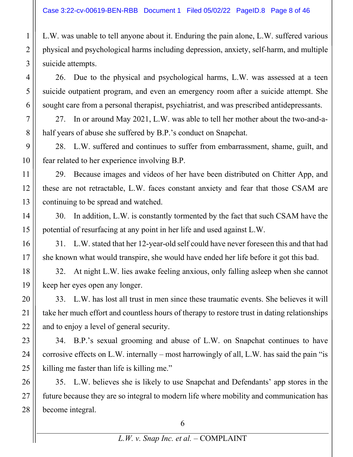L.W. was unable to tell anyone about it. Enduring the pain alone, L.W. suffered various physical and psychological harms including depression, anxiety, self-harm, and multiple suicide attempts.

26. Due to the physical and psychological harms, L.W. was assessed at a teen suicide outpatient program, and even an emergency room after a suicide attempt. She sought care from a personal therapist, psychiatrist, and was prescribed antidepressants.

27. In or around May 2021, L.W. was able to tell her mother about the two-and-ahalf years of abuse she suffered by B.P.'s conduct on Snapchat.

28. L.W. suffered and continues to suffer from embarrassment, shame, guilt, and fear related to her experience involving B.P.

29. Because images and videos of her have been distributed on Chitter App, and these are not retractable, L.W. faces constant anxiety and fear that those CSAM are continuing to be spread and watched.

30. In addition, L.W. is constantly tormented by the fact that such CSAM have the potential of resurfacing at any point in her life and used against L.W.

31. L.W. stated that her 12-year-old self could have never foreseen this and that had she known what would transpire, she would have ended her life before it got this bad.

32. At night L.W. lies awake feeling anxious, only falling asleep when she cannot keep her eyes open any longer.

33. L.W. has lost all trust in men since these traumatic events. She believes it will take her much effort and countless hours of therapy to restore trust in dating relationships and to enjoy a level of general security.

34. B.P.'s sexual grooming and abuse of L.W. on Snapchat continues to have corrosive effects on L.W. internally – most harrowingly of all, L.W. has said the pain "is killing me faster than life is killing me."

35. L.W. believes she is likely to use Snapchat and Defendants' app stores in the future because they are so integral to modern life where mobility and communication has become integral.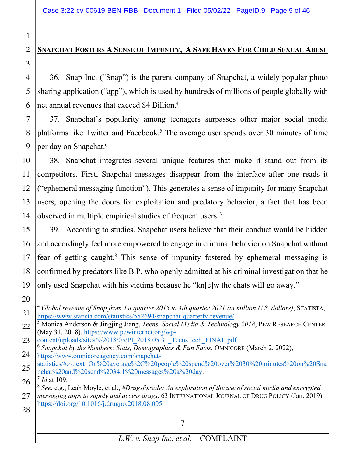### **SNAPCHAT FOSTERS A SENSE OF IMPUNITY, A SAFE HAVEN FOR CHILD SEXUAL ABUSE**

36. Snap Inc. ("Snap") is the parent company of Snapchat, a widely popular photo sharing application ("app"), which is used by hundreds of millions of people globally with net annual revenues that exceed \$4 Billion. 4

7 8 9 37. Snapchat's popularity among teenagers surpasses other major social media platforms like Twitter and Facebook.<sup>5</sup> The average user spends over 30 minutes of time per day on Snapchat.6

10 11 12 13 14 38. Snapchat integrates several unique features that make it stand out from its competitors. First, Snapchat messages disappear from the interface after one reads it ("ephemeral messaging function"). This generates a sense of impunity for many Snapchat users, opening the doors for exploitation and predatory behavior, a fact that has been observed in multiple empirical studies of frequent users.<sup>7</sup>

15 16 17 18 19 39. According to studies, Snapchat users believe that their conduct would be hidden and accordingly feel more empowered to engage in criminal behavior on Snapchat without fear of getting caught. <sup>8</sup> This sense of impunity fostered by ephemeral messaging is confirmed by predators like B.P. who openly admitted at his criminal investigation that he only used Snapchat with his victims because he "kn[e]w the chats will go away."

20 21

1

2

3

4

5

6

- 24  $^6$  Snapchat by the Numbers: Stats, Demographics & Fun Facts, OMNICORE (March 2, 2022), https://www.omnicoreagency.com/snapchat-
- 25 statistics/#:~:text=On%20average%2C%20people%20spend%20over%2030%20minutes%20on%20Sna pchat%20and%20send%2034.1%20messages%20a%20day. 7 *Id* at 109.
- 26

<sup>4</sup> *Global revenue of Snap from 1st quarter 2015 to 4th quarter 2021 (in million U.S. dollars)*, STATISTA, https://www.statista.com/statistics/552694/snapchat-quarterly-revenue/. 5 Monica Anderson & Jingjing Jiang, *Teens, Social Media & Technology 2018*, PEW RESEARCH CENTER

<sup>22</sup> (May 31, 2018), https://www.pewinternet.org/wp-<br>content/uploads/sites/9/2018/05/PI 2018.05.31 TeensTech FINAL.pdf.

<sup>27</sup> 28 <sup>8</sup> *See*, e.g., Leah Moyle, et al., *#Drugsforsale: An exploration of the use of social media and encrypted messaging apps to supply and access drugs*, 63 INTERNATIONAL JOURNAL OF DRUG POLICY (Jan. 2019), https://doi.org/10.1016/j.drugpo.2018.08.005.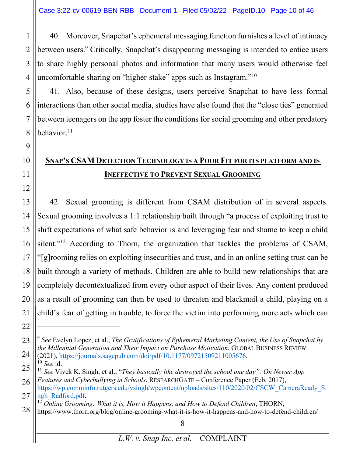1

2

3

4

7

9

10

11

12

22

40. Moreover, Snapchat's ephemeral messaging function furnishes a level of intimacy between users.<sup>9</sup> Critically, Snapchat's disappearing messaging is intended to entice users to share highly personal photos and information that many users would otherwise feel uncomfortable sharing on "higher-stake" apps such as Instagram."10

5 6 8 41. Also, because of these designs, users perceive Snapchat to have less formal interactions than other social media, studies have also found that the "close ties" generated between teenagers on the app foster the conditions for social grooming and other predatory behavior. $11$ 

## **SNAP'S CSAM DETECTION TECHNOLOGY IS A POOR FIT FOR ITS PLATFORM AND IS INEFFECTIVE TO PREVENT SEXUAL GROOMING**

13 14 15 16 17 18 19 20 21 42. Sexual grooming is different from CSAM distribution of in several aspects. Sexual grooming involves a 1:1 relationship built through "a process of exploiting trust to shift expectations of what safe behavior is and leveraging fear and shame to keep a child silent."<sup>12</sup> According to Thorn, the organization that tackles the problems of CSAM, "[g]rooming relies on exploiting insecurities and trust, and in an online setting trust can be built through a variety of methods. Children are able to build new relationships that are completely decontextualized from every other aspect of their lives. Any content produced as a result of grooming can then be used to threaten and blackmail a child, playing on a child's fear of getting in trouble, to force the victim into performing more acts which can

<sup>23</sup> 24 <sup>9</sup> *See* Evelyn Lopez, et al., *The Gratifications of Ephemeral Marketing Content, the Use of Snapchat by the Millennial Generation and Their Impact on Purchase Motivation*, GLOBAL BUSINESS REVIEW (2021), https://journals.sagepub.com/doi/pdf/10.1177/09721509211005676. 10 *See* id.

<sup>25</sup> 26 <sup>11</sup> *See* Vivek K. Singh, et al., "*They basically like destroyed the school one day": On Newer App Features and Cyberbullying in Schools*, RESEARCHGATE – Conference Paper (Feb. 2017),

<sup>27</sup> https://wp.comminfo.rutgers.edu/vsingh/wpcontent/uploads/sites/110/2020/02/CSCW\_CameraReady\_Si ngh\_Radford.pdf. 12<br><sup>12</sup> Online Grooming: What it is, How it Happens, and How to Defend Children, THORN,

<sup>28</sup> https://www.thorn.org/blog/online-grooming-what-it-is-how-it-happens-and-how-to-defend-children/

<sup>8</sup>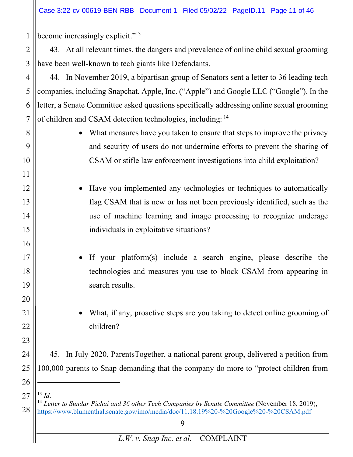Case 3:22-cv-00619-BEN-RBB Document 1 Filed 05/02/22 PageID.11 Page 11 of 46

9 1 2 3 4 5 6 7 8 9 10 11 12 13 14 15 16 17 18 19 20 21 22 23 24 25 26 27 28 become increasingly explicit."13 43. At all relevant times, the dangers and prevalence of online child sexual grooming have been well-known to tech giants like Defendants. 44. In November 2019, a bipartisan group of Senators sent a letter to 36 leading tech companies, including Snapchat, Apple, Inc. ("Apple") and Google LLC ("Google"). In the letter, a Senate Committee asked questions specifically addressing online sexual grooming of children and CSAM detection technologies, including: <sup>14</sup> • What measures have you taken to ensure that steps to improve the privacy and security of users do not undermine efforts to prevent the sharing of CSAM or stifle law enforcement investigations into child exploitation? Have you implemented any technologies or techniques to automatically flag CSAM that is new or has not been previously identified, such as the use of machine learning and image processing to recognize underage individuals in exploitative situations? If your platform(s) include a search engine, please describe the technologies and measures you use to block CSAM from appearing in search results. What, if any, proactive steps are you taking to detect online grooming of children? 45. In July 2020, ParentsTogether, a national parent group, delivered a petition from 100,000 parents to Snap demanding that the company do more to "protect children from <sup>13</sup> *Id.*<br><sup>14</sup> *Letter to Sundar Pichai and 36 other Tech Companies by Senate Committee* (November 18, 2019), https://www.blumenthal.senate.gov/imo/media/doc/11.18.19%20-%20Google%20-%20CSAM.pdf

*L.W. v. Snap Inc. et al.* – COMPLAINT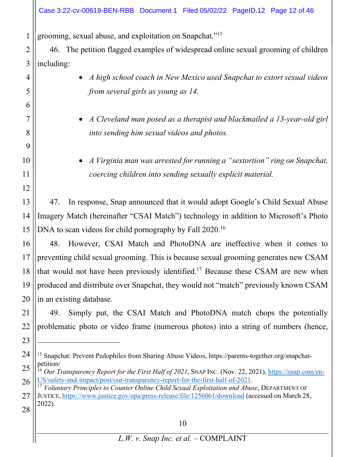## Case 3:22-cv-00619-BEN-RBB Document 1 Filed 05/02/22 PageID.12 Page 12 of 46

grooming, sexual abuse, and exploitation on Snapchat."15

1

2 3 46. The petition flagged examples of widespread online sexual grooming of children including:

| 4  | A high school coach in New Mexico used Snapchat to extort sexual videos                                                                                                         |
|----|---------------------------------------------------------------------------------------------------------------------------------------------------------------------------------|
| 5  | from several girls as young as 14.                                                                                                                                              |
| 6  |                                                                                                                                                                                 |
| 7  | A Cleveland man posed as a therapist and blackmailed a 13-year-old girl                                                                                                         |
| 8  | into sending him sexual videos and photos.                                                                                                                                      |
| 9  |                                                                                                                                                                                 |
| 10 | A Virginia man was arrested for running a "sextortion" ring on Snapchat,                                                                                                        |
| 11 | coercing children into sending sexually explicit material.                                                                                                                      |
| 12 |                                                                                                                                                                                 |
| 13 | In response, Snap announced that it would adopt Google's Child Sexual Abuse<br>47.                                                                                              |
| 14 | Imagery Match (hereinafter "CSAI Match") technology in addition to Microsoft's Photo                                                                                            |
| 15 | DNA to scan videos for child pornography by Fall 2020. <sup>16</sup>                                                                                                            |
| 16 | However, CSAI Match and PhotoDNA are ineffective when it comes to<br>48.                                                                                                        |
| 17 | preventing child sexual grooming. This is because sexual grooming generates new CSAM                                                                                            |
| 18 | that would not have been previously identified. <sup>17</sup> Because these CSAM are new when                                                                                   |
| 19 | produced and distribute over Snapchat, they would not "match" previously known CSAM                                                                                             |
| 20 | in an existing database.                                                                                                                                                        |
| 21 | Simply put, the CSAI Match and PhotoDNA match chops the potentially<br>49.                                                                                                      |
| 22 | problematic photo or video frame (numerous photos) into a string of numbers (hence,                                                                                             |
| 23 |                                                                                                                                                                                 |
| 24 | <sup>15</sup> Snapchat: Prevent Pedophiles from Sharing Abuse Videos, https://parents-together.org/snapchat-                                                                    |
| 25 | petition/<br><sup>16</sup> Our Transparency Report for the First Half of 2021, SNAP INC. (Nov. 22, 2021), https://snap.com/en-                                                  |
| 26 | US/safety-and-impact/post/our-transparency-report-for-the-first-half-of-2021.<br>$17$ Voluntary Principles to Counter Online Child Sexual Exploitation and Abuse, DEPARTMENT OF |
| 27 | JUSTICE, https://www.justice.gov/opa/press-release/file/1256061/download (accessed on March 28,                                                                                 |
| 28 | 2022).                                                                                                                                                                          |
|    | 10                                                                                                                                                                              |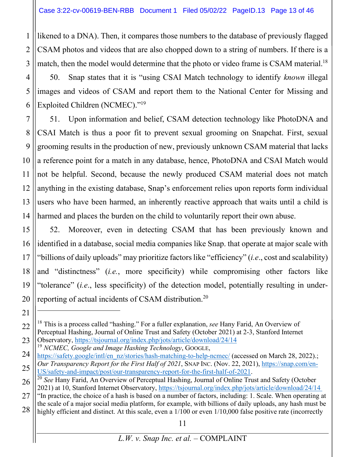likened to a DNA). Then, it compares those numbers to the database of previously flagged CSAM photos and videos that are also chopped down to a string of numbers. If there is a match, then the model would determine that the photo or video frame is CSAM material.<sup>18</sup>

4 5 6 50. Snap states that it is "using CSAI Match technology to identify *known* illegal images and videos of CSAM and report them to the National Center for Missing and Exploited Children (NCMEC)."19

7 8 9 10 11 12 13 14 51. Upon information and belief, CSAM detection technology like PhotoDNA and CSAI Match is thus a poor fit to prevent sexual grooming on Snapchat. First, sexual grooming results in the production of new, previously unknown CSAM material that lacks a reference point for a match in any database, hence, PhotoDNA and CSAI Match would not be helpful. Second, because the newly produced CSAM material does not match anything in the existing database, Snap's enforcement relies upon reports form individual users who have been harmed, an inherently reactive approach that waits until a child is harmed and places the burden on the child to voluntarily report their own abuse.

15 16 17 18 19 52. Moreover, even in detecting CSAM that has been previously known and identified in a database, social media companies like Snap. that operate at major scale with "billions of daily uploads" may prioritize factors like "efficiency" (*i.e*., cost and scalability) and "distinctness" (*i.e.*, more specificity) while compromising other factors like "tolerance" (*i.e*., less specificity) of the detection model, potentially resulting in underreporting of actual incidents of CSAM distribution.20

1

2

3

<sup>19</sup> *NCMEC, Google and Image Hashing Technology*, GOOGLE,

<sup>20</sup> 21 22 23

<sup>18</sup> This is a process called "hashing." For a fuller explanation, *see* Hany Farid, An Overview of Perceptual Hashing, Journal of Online Trust and Safety (October 2021) at 2-3, Stanford Internet Observatory, https://tsjournal.org/index.php/jots/article/download/24/14

<sup>24</sup> 25 https://safety.google/intl/en\_nz/stories/hash-matching-to-help-ncmec/ (accessed on March 28, 2022).; *Our Transparency Report for the First Half of 2021*, SNAP INC. (Nov. 22, 2021), https://snap.com/en-US/safety-and-impact/post/our-transparency-report-for-the-first-half-of-2021.

<sup>26</sup> <sup>20</sup> *See* Hany Farid, An Overview of Perceptual Hashing, Journal of Online Trust and Safety (October 2021) at 10, Stanford Internet Observatory, https://tsjournal.org/index.php/jots/article/download/24/14

<sup>27</sup> 28 "In practice, the choice of a hash is based on a number of factors, including: 1. Scale. When operating at the scale of a major social media platform, for example, with billions of daily uploads, any hash must be highly efficient and distinct. At this scale, even a  $1/100$  or even  $1/10,000$  false positive rate (incorrectly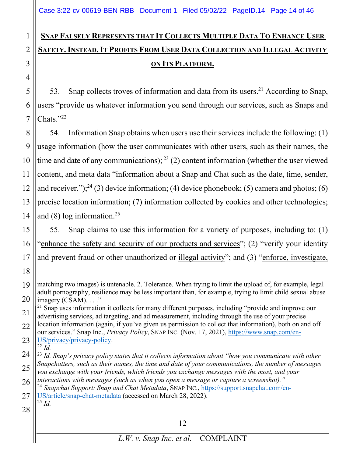# **SNAP FALSELY REPRESENTS THAT IT COLLECTS MULTIPLE DATA TO ENHANCE USER SAFETY. INSTEAD, IT PROFITS FROM USER DATA COLLECTION AND ILLEGAL ACTIVITY ON ITS PLATFORM.**

53. Snap collects troves of information and data from its users.<sup>21</sup> According to Snap, users "provide us whatever information you send through our services, such as Snaps and Chats."22

8 9 10 11 12 13 14 54. Information Snap obtains when users use their services include the following: (1) usage information (how the user communicates with other users, such as their names, the time and date of any communications);  $^{23}$  (2) content information (whether the user viewed content, and meta data "information about a Snap and Chat such as the date, time, sender, and receiver.");<sup>24</sup> (3) device information; (4) device phonebook; (5) camera and photos; (6) precise location information; (7) information collected by cookies and other technologies; and  $(8)$  log information.<sup>25</sup>

15 16 17 55. Snap claims to use this information for a variety of purposes, including to: (1) "enhance the safety and security of our products and services"; (2) "verify your identity and prevent fraud or other unauthorized or illegal activity"; and (3) "enforce, investigate,

23 US/privacy/privacy-policy.  $\overline{22}$  *Id.* 

28

18

1

2

3

4

5

6

<sup>19</sup> 20 matching two images) is untenable. 2. Tolerance. When trying to limit the upload of, for example, legal adult pornography, resilience may be less important than, for example, trying to limit child sexual abuse imagery (CSAM). . . ."

<sup>21</sup> 22  $21$  Snap uses information it collects for many different purposes, including "provide and improve our advertising services, ad targeting, and ad measurement, including through the use of your precise location information (again, if you've given us permission to collect that information), both on and off our services." Snap Inc., *Privacy Policy*, SNAP INC. (Nov. 17, 2021), https://www.snap.com/en-

<sup>24</sup> 25 <sup>23</sup> *Id. Snap's privacy policy states that it collects information about "how you communicate with other Snapchatters, such as their names, the time and date of your communications, the number of messages you exchange with your friends, which friends you exchange messages with the most, and your interactions with messages (such as when you open a message or capture a screenshot)."*

<sup>26</sup> 27 <sup>24</sup> *Snapchat Support: Snap and Chat Metadata*, SNAP INC., https://support.snapchat.com/en-US/article/snap-chat-metadata (accessed on March 28, 2022).  $\overline{^{25}}$  *Id.*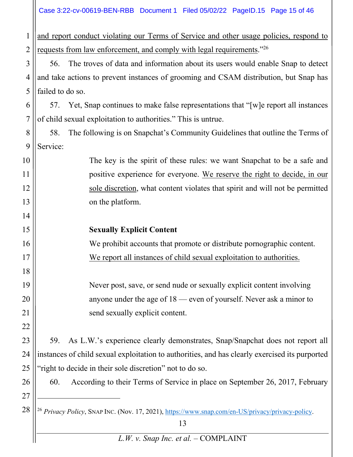|                | Case 3:22-cv-00619-BEN-RBB Document 1 Filed 05/02/22 PageID.15 Page 15 of 46                                      |
|----------------|-------------------------------------------------------------------------------------------------------------------|
| $\mathbf{1}$   | and report conduct violating our Terms of Service and other usage policies, respond to                            |
| $\overline{2}$ | requests from law enforcement, and comply with legal requirements."26                                             |
| 3              | The troves of data and information about its users would enable Snap to detect<br>56.                             |
| $\overline{4}$ | and take actions to prevent instances of grooming and CSAM distribution, but Snap has                             |
| 5              | failed to do so.                                                                                                  |
| 6              | Yet, Snap continues to make false representations that "[w] e report all instances<br>57.                         |
| $\overline{7}$ | of child sexual exploitation to authorities." This is untrue.                                                     |
| 8              | The following is on Snapchat's Community Guidelines that outline the Terms of<br>58.                              |
| 9              | Service:                                                                                                          |
| 10             | The key is the spirit of these rules: we want Snapchat to be a safe and                                           |
| 11             | positive experience for everyone. We reserve the right to decide, in our                                          |
| 12             | sole discretion, what content violates that spirit and will not be permitted                                      |
| 13             | on the platform.                                                                                                  |
| 14             |                                                                                                                   |
| 15             | <b>Sexually Explicit Content</b>                                                                                  |
| 16             | We prohibit accounts that promote or distribute pornographic content.                                             |
| 17             | We report all instances of child sexual exploitation to authorities.                                              |
| 18             |                                                                                                                   |
| 19             | Never post, save, or send nude or sexually explicit content involving                                             |
| 20             | anyone under the age of $18$ — even of yourself. Never ask a minor to                                             |
| 21             | send sexually explicit content.                                                                                   |
| 22             |                                                                                                                   |
| 23             | As L.W.'s experience clearly demonstrates, Snap/Snapchat does not report all<br>59.                               |
| 24             | instances of child sexual exploitation to authorities, and has clearly exercised its purported                    |
| 25             | 'right to decide in their sole discretion" not to do so.                                                          |
| 26             | According to their Terms of Service in place on September 26, 2017, February<br>60.                               |
| 27             |                                                                                                                   |
| 28             | <sup>26</sup> Privacy Policy, SNAP INC. (Nov. 17, 2021), https://www.snap.com/en-US/privacy/privacy-policy.<br>13 |
|                | L.W. v. Snap Inc. et al. - COMPLAINT                                                                              |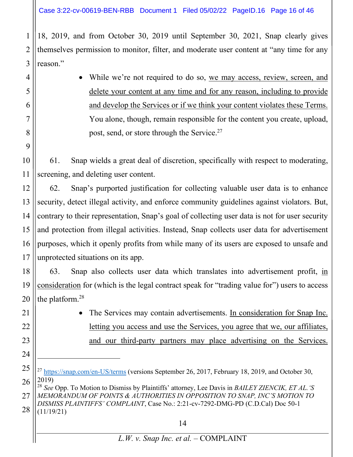1

2

3

4

5

6

7

8

9

21

22

23

24

18, 2019, and from October 30, 2019 until September 30, 2021, Snap clearly gives themselves permission to monitor, filter, and moderate user content at "any time for any reason."

 While we're not required to do so, we may access, review, screen, and delete your content at any time and for any reason, including to provide and develop the Services or if we think your content violates these Terms. You alone, though, remain responsible for the content you create, upload, post, send, or store through the Service.<sup>27</sup>

10 11 61. Snap wields a great deal of discretion, specifically with respect to moderating, screening, and deleting user content.

12 13 14 15 16 17 62. Snap's purported justification for collecting valuable user data is to enhance security, detect illegal activity, and enforce community guidelines against violators. But, contrary to their representation, Snap's goal of collecting user data is not for user security and protection from illegal activities. Instead, Snap collects user data for advertisement purposes, which it openly profits from while many of its users are exposed to unsafe and unprotected situations on its app.

18 19 20 63. Snap also collects user data which translates into advertisement profit, in consideration for (which is the legal contract speak for "trading value for") users to access the platform.28

> The Services may contain advertisements. In consideration for Snap Inc. letting you access and use the Services, you agree that we, our affiliates, and our third-party partners may place advertising on the Services.

27 28 <sup>28</sup> *See* Opp. To Motion to Dismiss by Plaintiffs' attorney, Lee Davis in *BAILEY ZIENCIK, ET AL.'S MEMORANDUM OF POINTS & AUTHORITIES IN OPPOSITION TO SNAP, INC'S MOTION TO DISMISS PLAINTIFFS' COMPLAINT*, Case No.: 2:21-cv-7292-DMG-PD (C.D.Cal) Doc 50-1 (11/19/21)

<sup>25</sup> 26 <sup>27</sup> https://snap.com/en-US/terms (versions September 26, 2017, February 18, 2019, and October 30, 2019)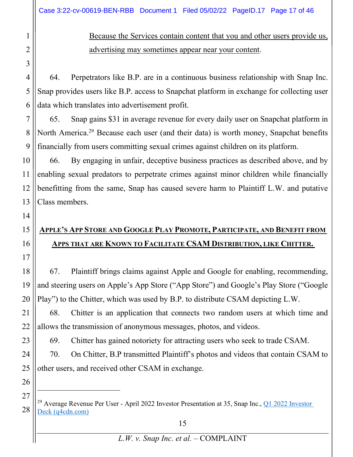Because the Services contain content that you and other users provide us, advertising may sometimes appear near your content.

64. Perpetrators like B.P. are in a continuous business relationship with Snap Inc. Snap provides users like B.P. access to Snapchat platform in exchange for collecting user data which translates into advertisement profit.

65. Snap gains \$31 in average revenue for every daily user on Snapchat platform in North America.<sup>29</sup> Because each user (and their data) is worth money, Snapchat benefits financially from users committing sexual crimes against children on its platform.

10 11 12 13 66. By engaging in unfair, deceptive business practices as described above, and by enabling sexual predators to perpetrate crimes against minor children while financially benefitting from the same, Snap has caused severe harm to Plaintiff L.W. and putative Class members.

# **APPLE'S APP STORE AND GOOGLE PLAY PROMOTE, PARTICIPATE, AND BENEFIT FROM APPS THAT ARE KNOWN TO FACILITATE CSAM DISTRIBUTION, LIKE CHITTER.**

18 19 20 67. Plaintiff brings claims against Apple and Google for enabling, recommending, and steering users on Apple's App Store ("App Store") and Google's Play Store ("Google Play") to the Chitter, which was used by B.P. to distribute CSAM depicting L.W.

22 68. Chitter is an application that connects two random users at which time and allows the transmission of anonymous messages, photos, and videos.

69. Chitter has gained notoriety for attracting users who seek to trade CSAM.

70. On Chitter, B.P transmitted Plaintiff's photos and videos that contain CSAM to other users, and received other CSAM in exchange.

26 27

28

1

2

3

4

5

6

7

8

9

14

15

16

17

21

23

24

<sup>&</sup>lt;sup>29</sup> Average Revenue Per User - April 2022 Investor Presentation at 35, Snap Inc., **Q1 2022 Investor** Deck (q4cdn.com)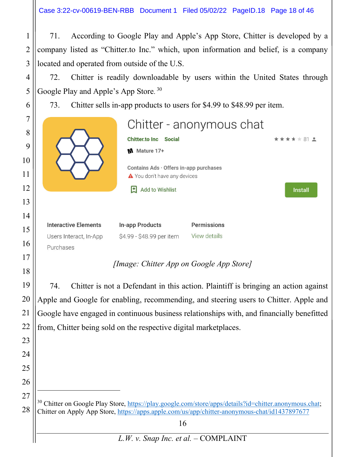71. According to Google Play and Apple's App Store, Chitter is developed by a company listed as "Chitter.to Inc." which, upon information and belief, is a company located and operated from outside of the U.S.

72. Chitter is readily downloadable by users within the United States through Google Play and Apple's App Store. <sup>30</sup>

73. Chitter sells in-app products to users for \$4.99 to \$48.99 per item.

1

2

3

4

5

6

21

23

24

25

26

27

28

| 7<br>8<br>9<br>10<br>11<br>12<br>13 |                                                                    | <b>Chitter.to Inc</b><br><b>Social</b><br>Mature 17+<br>W<br>Contains Ads · Offers in-app purchases<br>▲ You don't have any devices<br>団<br>Add to Wishlist | Chitter - anonymous chat    | $*$ $*$ 81 $*$<br><b>Install</b> |
|-------------------------------------|--------------------------------------------------------------------|-------------------------------------------------------------------------------------------------------------------------------------------------------------|-----------------------------|----------------------------------|
| 14<br>15<br>16                      | <b>Interactive Elements</b><br>Users Interact, In-App<br>Purchases | In-app Products<br>\$4.99 - \$48.99 per item                                                                                                                | Permissions<br>View details |                                  |
| 17<br>18                            |                                                                    | [Image: Chitter App on Google App Store]                                                                                                                    |                             |                                  |

19 20 22 74. Chitter is not a Defendant in this action. Plaintiff is bringing an action against Apple and Google for enabling, recommending, and steering users to Chitter. Apple and Google have engaged in continuous business relationships with, and financially benefitted from, Chitter being sold on the respective digital marketplaces.

<sup>30</sup> Chitter on Google Play Store, https://play.google.com/store/apps/details?id=chitter.anonymous.chat; Chitter on Apply App Store, https://apps.apple.com/us/app/chitter-anonymous-chat/id1437897677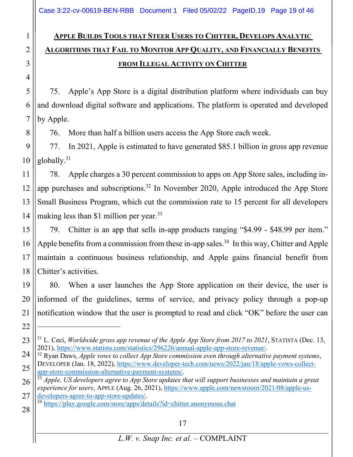# **APPLE BUILDS TOOLS THAT STEER USERS TO CHITTER, DEVELOPS ANALYTIC ALGORITHMS THAT FAIL TO MONITOR APP QUALITY, AND FINANCIALLY BENEFITS FROM ILLEGAL ACTIVITY ON CHITTER**

75. Apple's App Store is a digital distribution platform where individuals can buy and download digital software and applications. The platform is operated and developed by Apple.

76. More than half a billion users access the App Store each week.

9 10 77. In 2021, Apple is estimated to have generated \$85.1 billion in gross app revenue globally.31

11 78. Apple charges a 30 percent commission to apps on App Store sales, including inapp purchases and subscriptions.32 In November 2020, Apple introduced the App Store Small Business Program, which cut the commission rate to 15 percent for all developers making less than \$1 million per year.<sup>33</sup>

79. Chitter is an app that sells in-app products ranging "\$4.99 - \$48.99 per item." Apple benefits from a commission from these in-app sales.<sup>34</sup> In this way, Chitter and Apple maintain a continuous business relationship, and Apple gains financial benefit from Chitter's activities.

80. When a user launches the App Store application on their device, the user is informed of the guidelines, terms of service, and privacy policy through a pop-up notification window that the user is prompted to read and click "OK" before the user can

developers-agree-to-app-store-updates/.<br><sup>34</sup> https://play.google.com/store/apps/details?id=chitter.anonymous.chat

1

2

3

4

5

6

7

<sup>&</sup>lt;sup>31</sup> L. Ceci, *Worldwide gross app revenue of the Apple App Store from 2017 to 2021*, STATISTA (Dec. 13, 2021), https://www.statista.com/statistics/296226/annual-apple-app-store-revenue/.

<sup>&</sup>lt;sup>32</sup> Ryan Daws, *Apple vows to collect App Store commission even through alternative payment systems*, DEVELOPER (Jan. 18, 2022), https://www.developer-tech.com/news/2022/jan/18/apple-vows-collectapp-store-commission-alternative-payment-systems/. 33 *Apple, US developers agree to App Store updates that will support businesses and maintain a great* 

*experience for users*, APPLE (Aug. 26, 2021), https://www.apple.com/newsroom/2021/08/apple-us-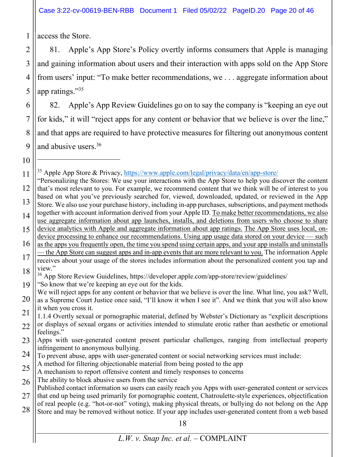Case 3:22-cv-00619-BEN-RBB Document 1 Filed 05/02/22 PageID.20 Page 20 of 46

access the Store.

2 3 4 5 81. Apple's App Store's Policy overtly informs consumers that Apple is managing and gaining information about users and their interaction with apps sold on the App Store from users' input: "To make better recommendations, we . . . aggregate information about app ratings."35

6 7 8 9 82. Apple's App Review Guidelines go on to say the company is "keeping an eye out for kids," it will "reject apps for any content or behavior that we believe is over the line," and that apps are required to have protective measures for filtering out anonymous content and abusive users.<sup>36</sup>

10

1

- 24 To prevent abuse, apps with user-generated content or social networking services must include:
- 25 A method for filtering objectionable material from being posted to the app
- A mechanism to report offensive content and timely responses to concerns
- 26 The ability to block abusive users from the service

28 Store and may be removed without notice. If your app includes user-generated content from a web based

<sup>&</sup>lt;sup>35</sup> Apple App Store & Privacy, https://www.apple.com/legal/privacy/data/en/app-store/

<sup>11</sup> 12 13 14 15 16 "Personalizing the Stores: We use your interactions with the App Store to help you discover the content that's most relevant to you. For example, we recommend content that we think will be of interest to you based on what you've previously searched for, viewed, downloaded, updated, or reviewed in the App Store. We also use your purchase history, including in-app purchases, subscriptions, and payment methods together with account information derived from your Apple ID. To make better recommendations, we also use aggregate information about app launches, installs, and deletions from users who choose to share device analytics with Apple and aggregate information about app ratings. The App Store uses local, ondevice processing to enhance our recommendations. Using app usage data stored on your device — such as the apps you frequently open, the time you spend using certain apps, and your app installs and uninstalls

<sup>17</sup> 18 — the App Store can suggest apps and in-app events that are more relevant to you. The information Apple receives about your usage of the stores includes information about the personalized content you tap and view"

<sup>19</sup> <sup>36</sup> App Store Review Guidelines, https://developer.apple.com/app-store/review/guidelines/ "So know that we're keeping an eye out for the kids.

<sup>20</sup> We will reject apps for any content or behavior that we believe is over the line. What line, you ask? Well, as a Supreme Court Justice once said, "I'll know it when I see it". And we think that you will also know it when you cross it.

<sup>21</sup> 22 1.1.4 Overtly sexual or pornographic material, defined by Webster's Dictionary as "explicit descriptions or displays of sexual organs or activities intended to stimulate erotic rather than aesthetic or emotional feelings."

<sup>23</sup> Apps with user-generated content present particular challenges, ranging from intellectual property infringement to anonymous bullying.

<sup>27</sup> Published contact information so users can easily reach you Apps with user-generated content or services that end up being used primarily for pornographic content, Chatroulette-style experiences, objectification of real people (e.g. "hot-or-not" voting), making physical threats, or bullying do not belong on the App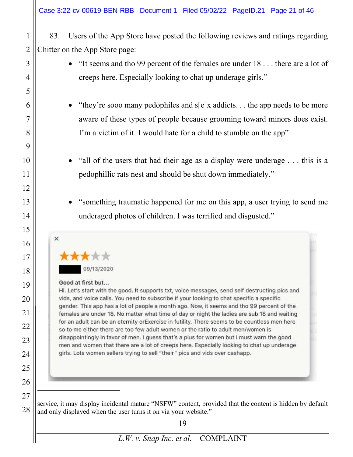83. Users of the App Store have posted the following reviews and ratings regarding Chitter on the App Store page:

- "It seems and tho 99 percent of the females are under 18 . . . there are a lot of creeps here. Especially looking to chat up underage girls."
- "they're sooo many pedophiles and s[e]x addicts. . . the app needs to be more aware of these types of people because grooming toward minors does exist. I'm a victim of it. I would hate for a child to stumble on the app"
- "all of the users that had their age as a display were underage . . . this is a pedophillic rats nest and should be shut down immediately."
- "something traumatic happened for me on this app, a user trying to send me underaged photos of children. I was terrified and disgusted."



#### Good at first but...

Hi. Let's start with the good. It supports txt, voice messages, send self destructing pics and vids, and voice calls. You need to subscribe if your looking to chat specific a specific gender. This app has a lot of people a month ago. Now, it seems and tho 99 percent of the females are under 18. No matter what time of day or night the ladies are sub 18 and waiting for an adult can be an eternity orExercise in futility. There seems to be countless men here so to me either there are too few adult women or the ratio to adult men/women is disappointingly in favor of men. I guess that's a plus for women but I must warn the good men and women that there are a lot of creeps here. Especially looking to chat up underage girls. Lots women sellers trying to sell "their" pics and vids over cashapp.

service, it may display incidental mature "NSFW" content, provided that the content is hidden by default and only displayed when the user turns it on via your website."

1

2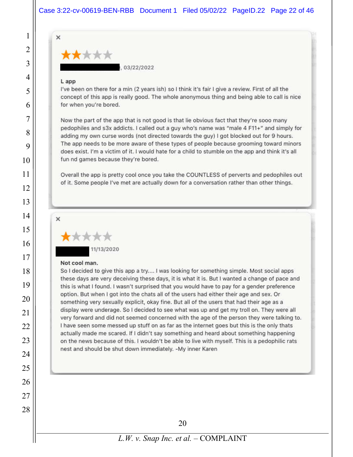

, 03/22/2022

#### L app

1

2

3

4

5

6

7

8

9

10

11

12

13

14

15

16

17

18

19

20

21

22

23

24

25

26

27

28

I've been on there for a min (2 years ish) so I think it's fair I give a review. First of all the concept of this app is really good. The whole anonymous thing and being able to call is nice for when you're bored.

Now the part of the app that is not good is that lie obvious fact that they're sooo many pedophiles and s3x addicts. I called out a guy who's name was "male 4 F11+" and simply for adding my own curse words (not directed towards the guy) I got blocked out for 9 hours. The app needs to be more aware of these types of people because grooming toward minors does exist. I'm a victim of it. I would hate for a child to stumble on the app and think it's all fun nd games because they're bored.

Overall the app is pretty cool once you take the COUNTLESS of perverts and pedophiles out of it. Some people I've met are actually down for a conversation rather than other things.



11/13/2020

#### Not cool man.

So I decided to give this app a try.... I was looking for something simple. Most social apps these days are very deceiving these days, it is what it is. But I wanted a change of pace and this is what I found. I wasn't surprised that you would have to pay for a gender preference option. But when I got into the chats all of the users had either their age and sex. Or something very sexually explicit, okay fine. But all of the users that had their age as a display were underage. So I decided to see what was up and get my troll on. They were all very forward and did not seemed concerned with the age of the person they were talking to. I have seen some messed up stuff on as far as the internet goes but this is the only thats actually made me scared. If I didn't say something and heard about something happening on the news because of this. I wouldn't be able to live with myself. This is a pedophilic rats nest and should be shut down immediately. -My inner Karen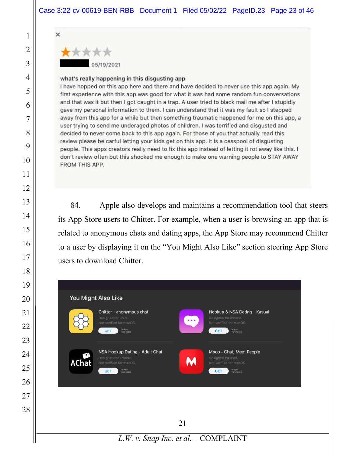

#### what's really happening in this disgusting app

I have hopped on this app here and there and have decided to never use this app again. My first experience with this app was good for what it was had some random fun conversations and that was it but then I got caught in a trap. A user tried to black mail me after I stupidly gave my personal information to them. I can understand that it was my fault so I stepped away from this app for a while but then something traumatic happened for me on this app, a user trying to send me underaged photos of children. I was terrified and disgusted and decided to never come back to this app again. For those of you that actually read this review please be carful letting your kids get on this app. It is a cesspool of disgusting people. This apps creators really need to fix this app instead of letting it rot away like this. I don't review often but this shocked me enough to make one warning people to STAY AWAY FROM THIS APP.

84. Apple also develops and maintains a recommendation tool that steers its App Store users to Chitter. For example, when a user is browsing an app that is related to anonymous chats and dating apps, the App Store may recommend Chitter to a user by displaying it on the "You Might Also Like" section steering App Store users to download Chitter.

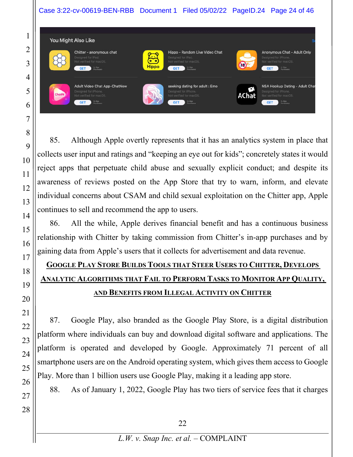### Case 3:22-cv-00619-BEN-RBB Document 1 Filed 05/02/22 PageID.24 Page 24 of 46



85. Although Apple overtly represents that it has an analytics system in place that collects user input and ratings and "keeping an eye out for kids"; concretely states it would reject apps that perpetuate child abuse and sexually explicit conduct; and despite its awareness of reviews posted on the App Store that try to warn, inform, and elevate individual concerns about CSAM and child sexual exploitation on the Chitter app, Apple continues to sell and recommend the app to users.

86. All the while, Apple derives financial benefit and has a continuous business relationship with Chitter by taking commission from Chitter's in-app purchases and by gaining data from Apple's users that it collects for advertisement and data revenue.

# **GOOGLE PLAY STORE BUILDS TOOLS THAT STEER USERS TO CHITTER, DEVELOPS ANALYTIC ALGORITHMS THAT FAIL TO PERFORM TASKS TO MONITOR APP QUALITY, AND BENEFITS FROM ILLEGAL ACTIVITY ON CHITTER**

87. Google Play, also branded as the Google Play Store, is a digital distribution platform where individuals can buy and download digital software and applications. The platform is operated and developed by Google. Approximately 71 percent of all smartphone users are on the Android operating system, which gives them access to Google Play. More than 1 billion users use Google Play, making it a leading app store.

88. As of January 1, 2022, Google Play has two tiers of service fees that it charges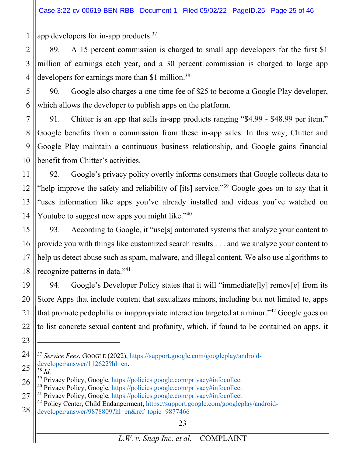app developers for in-app products.<sup>37</sup>

1

2 3 4 89. A 15 percent commission is charged to small app developers for the first \$1 million of earnings each year, and a 30 percent commission is charged to large app developers for earnings more than \$1 million.<sup>38</sup>

5 6 90. Google also charges a one-time fee of \$25 to become a Google Play developer, which allows the developer to publish apps on the platform.

7 8 9 10 91. Chitter is an app that sells in-app products ranging "\$4.99 - \$48.99 per item." Google benefits from a commission from these in-app sales. In this way, Chitter and Google Play maintain a continuous business relationship, and Google gains financial benefit from Chitter's activities.

11 12 13 14 92. Google's privacy policy overtly informs consumers that Google collects data to "help improve the safety and reliability of [its] service."39 Google goes on to say that it "uses information like apps you've already installed and videos you've watched on Youtube to suggest new apps you might like."<sup>40</sup>

15 16 17 18 93. According to Google, it "use[s] automated systems that analyze your content to provide you with things like customized search results . . . and we analyze your content to help us detect abuse such as spam, malware, and illegal content. We also use algorithms to recognize patterns in data."41

19 20 21 22 94. Google's Developer Policy states that it will "immediate[ly] remov[e] from its Store Apps that include content that sexualizes minors, including but not limited to, apps that promote pedophilia or inappropriate interaction targeted at a minor."42 Google goes on to list concrete sexual content and profanity, which, if found to be contained on apps, it

<sup>24</sup> 25 <sup>37</sup> *Service Fees*, GOOGLE (2022), https://support.google.com/googleplay/androiddeveloper/answer/112622?hl=en.<br><sup>38</sup> *Id.* 

<sup>26</sup> <sup>39</sup> Privacy Policy, Google, https://policies.google.com/privacy#infocollect <sup>40</sup> Privacy Policy, Google, https://policies.google.com/privacy#infocollect

<sup>27</sup> <sup>41</sup> Privacy Policy, Google, https://policies.google.com/privacy#infocollect

<sup>28</sup> <sup>42</sup> Policy Center, Child Endangerment, https://support.google.com/googleplay/androiddeveloper/answer/9878809?hl=en&ref\_topic=9877466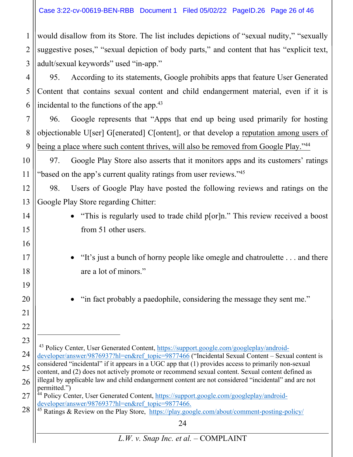#### Case 3:22-cv-00619-BEN-RBB Document 1 Filed 05/02/22 PageID.26 Page 26 of 46

1 2 3 would disallow from its Store. The list includes depictions of "sexual nudity," "sexually suggestive poses," "sexual depiction of body parts," and content that has "explicit text, adult/sexual keywords" used "in-app."

4 5 6 95. According to its statements, Google prohibits apps that feature User Generated Content that contains sexual content and child endangerment material, even if it is incidental to the functions of the app.<sup>43</sup>

7 8 9 96. Google represents that "Apps that end up being used primarily for hosting objectionable U[ser] G[enerated] C[ontent], or that develop a reputation among users of being a place where such content thrives, will also be removed from Google Play."<sup>44</sup>

10 11 97. Google Play Store also asserts that it monitors apps and its customers' ratings "based on the app's current quality ratings from user reviews."45

12 13 98. Users of Google Play have posted the following reviews and ratings on the Google Play Store regarding Chitter:

14

15

16

17

18

19

20

21

22

- "This is regularly used to trade child p[or]n." This review received a boost from 51 other users.
- "It's just a bunch of horny people like omegle and chatroulette . . . and there are a lot of minors."

"in fact probably a paedophile, considering the message they sent me."

<sup>23</sup> 24 25 26 43 Policy Center, User Generated Content, https://support.google.com/googleplay/androiddeveloper/answer/9876937?hl=en&ref\_topic=9877466 ("Incidental Sexual Content – Sexual content is considered "incidental" if it appears in a UGC app that (1) provides access to primarily non-sexual content, and (2) does not actively promote or recommend sexual content. Sexual content defined as illegal by applicable law and child endangerment content are not considered "incidental" and are not permitted.")

<sup>27</sup> <sup>44</sup> Policy Center, User Generated Content, https://support.google.com/googleplay/androiddeveloper/answer/9876937?hl=en&ref\_topic=9877466.

<sup>28</sup> <sup>45</sup> Ratings & Review on the Play Store, https://play.google.com/about/comment-posting-policy/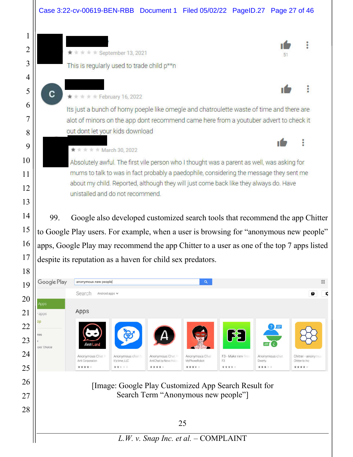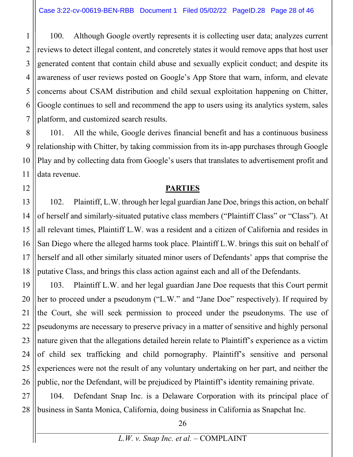1 2 3 4 5 6 100. Although Google overtly represents it is collecting user data; analyzes current reviews to detect illegal content, and concretely states it would remove apps that host user generated content that contain child abuse and sexually explicit conduct; and despite its awareness of user reviews posted on Google's App Store that warn, inform, and elevate concerns about CSAM distribution and child sexual exploitation happening on Chitter, Google continues to sell and recommend the app to users using its analytics system, sales platform, and customized search results.

8 9 10 11 101. All the while, Google derives financial benefit and has a continuous business relationship with Chitter, by taking commission from its in-app purchases through Google Play and by collecting data from Google's users that translates to advertisement profit and data revenue.

#### **PARTIES**

13 14 15 16 17 18 102. Plaintiff, L.W. through her legal guardian Jane Doe, brings this action, on behalf of herself and similarly-situated putative class members ("Plaintiff Class" or "Class"). At all relevant times, Plaintiff L.W. was a resident and a citizen of California and resides in San Diego where the alleged harms took place. Plaintiff L.W. brings this suit on behalf of herself and all other similarly situated minor users of Defendants' apps that comprise the putative Class, and brings this class action against each and all of the Defendants.

19 20 21 22 23 24 25 26 103. Plaintiff L.W. and her legal guardian Jane Doe requests that this Court permit her to proceed under a pseudonym ("L.W." and "Jane Doe" respectively). If required by the Court, she will seek permission to proceed under the pseudonyms. The use of pseudonyms are necessary to preserve privacy in a matter of sensitive and highly personal nature given that the allegations detailed herein relate to Plaintiff's experience as a victim of child sex trafficking and child pornography. Plaintiff's sensitive and personal experiences were not the result of any voluntary undertaking on her part, and neither the public, nor the Defendant, will be prejudiced by Plaintiff's identity remaining private.

27 28 104. Defendant Snap Inc. is a Delaware Corporation with its principal place of business in Santa Monica, California, doing business in California as Snapchat Inc.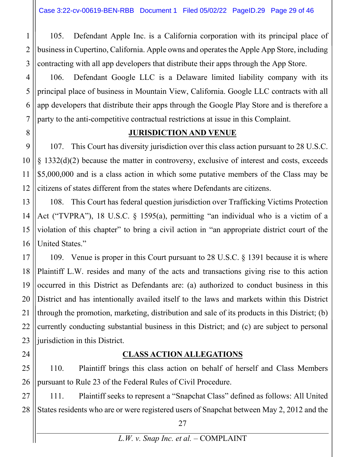1

2

3

4

5

6

7

8

9

10

11

12

24

105. Defendant Apple Inc. is a California corporation with its principal place of business in Cupertino, California. Apple owns and operates the Apple App Store, including contracting with all app developers that distribute their apps through the App Store.

106. Defendant Google LLC is a Delaware limited liability company with its principal place of business in Mountain View, California. Google LLC contracts with all app developers that distribute their apps through the Google Play Store and is therefore a party to the anti-competitive contractual restrictions at issue in this Complaint.

#### **JURISDICTION AND VENUE**

107. This Court has diversity jurisdiction over this class action pursuant to 28 U.S.C. § 1332(d)(2) because the matter in controversy, exclusive of interest and costs, exceeds \$5,000,000 and is a class action in which some putative members of the Class may be citizens of states different from the states where Defendants are citizens.

13 14 15 16 108. This Court has federal question jurisdiction over Trafficking Victims Protection Act ("TVPRA"), 18 U.S.C. § 1595(a), permitting "an individual who is a victim of a violation of this chapter" to bring a civil action in "an appropriate district court of the United States."

17 18 19 20 21 22 23 109. Venue is proper in this Court pursuant to 28 U.S.C. § 1391 because it is where Plaintiff L.W. resides and many of the acts and transactions giving rise to this action occurred in this District as Defendants are: (a) authorized to conduct business in this District and has intentionally availed itself to the laws and markets within this District through the promotion, marketing, distribution and sale of its products in this District; (b) currently conducting substantial business in this District; and (c) are subject to personal jurisdiction in this District.

## **CLASS ACTION ALLEGATIONS**

25 26 110. Plaintiff brings this class action on behalf of herself and Class Members pursuant to Rule 23 of the Federal Rules of Civil Procedure.

27 28 111. Plaintiff seeks to represent a "Snapchat Class" defined as follows: All United States residents who are or were registered users of Snapchat between May 2, 2012 and the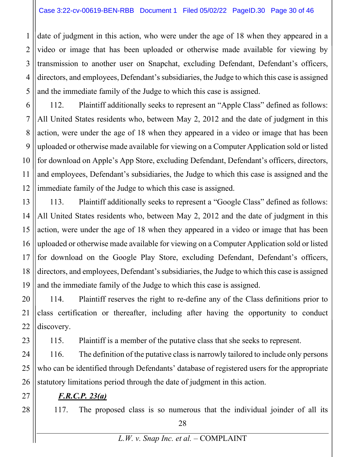1 2 3 4 5 date of judgment in this action, who were under the age of 18 when they appeared in a video or image that has been uploaded or otherwise made available for viewing by transmission to another user on Snapchat, excluding Defendant, Defendant's officers, directors, and employees, Defendant's subsidiaries, the Judge to which this case is assigned and the immediate family of the Judge to which this case is assigned.

6 7 8 9 10 11 12 112. Plaintiff additionally seeks to represent an "Apple Class" defined as follows: All United States residents who, between May 2, 2012 and the date of judgment in this action, were under the age of 18 when they appeared in a video or image that has been uploaded or otherwise made available for viewing on a Computer Application sold or listed for download on Apple's App Store, excluding Defendant, Defendant's officers, directors, and employees, Defendant's subsidiaries, the Judge to which this case is assigned and the immediate family of the Judge to which this case is assigned.

13 14 15 16 17 18 19 113. Plaintiff additionally seeks to represent a "Google Class" defined as follows: All United States residents who, between May 2, 2012 and the date of judgment in this action, were under the age of 18 when they appeared in a video or image that has been uploaded or otherwise made available for viewing on a Computer Application sold or listed for download on the Google Play Store, excluding Defendant, Defendant's officers, directors, and employees, Defendant's subsidiaries, the Judge to which this case is assigned and the immediate family of the Judge to which this case is assigned.

20 21 22 114. Plaintiff reserves the right to re-define any of the Class definitions prior to class certification or thereafter, including after having the opportunity to conduct discovery.

115. Plaintiff is a member of the putative class that she seeks to represent.

24 25 26 116. The definition of the putative class is narrowly tailored to include only persons who can be identified through Defendants' database of registered users for the appropriate statutory limitations period through the date of judgment in this action.

*F.R.C.P. 23(a)*

117. The proposed class is so numerous that the individual joinder of all its

23

27

28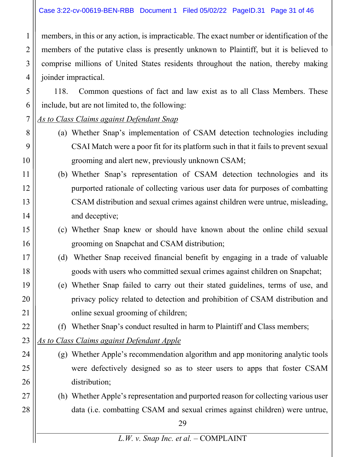#### Case 3:22-cv-00619-BEN-RBB Document 1 Filed 05/02/22 PageID.31 Page 31 of 46

members, in this or any action, is impracticable. The exact number or identification of the members of the putative class is presently unknown to Plaintiff, but it is believed to comprise millions of United States residents throughout the nation, thereby making joinder impractical.

118. Common questions of fact and law exist as to all Class Members. These include, but are not limited to, the following:

- 7 *As to Class Claims against Defendant Snap*
	- (a) Whether Snap's implementation of CSAM detection technologies including CSAI Match were a poor fit for its platform such in that it fails to prevent sexual grooming and alert new, previously unknown CSAM;
- 11 12 13 14 (b) Whether Snap's representation of CSAM detection technologies and its purported rationale of collecting various user data for purposes of combatting CSAM distribution and sexual crimes against children were untrue, misleading, and deceptive;
	- (c) Whether Snap knew or should have known about the online child sexual grooming on Snapchat and CSAM distribution;
	- (d) Whether Snap received financial benefit by engaging in a trade of valuable goods with users who committed sexual crimes against children on Snapchat;
	- (e) Whether Snap failed to carry out their stated guidelines, terms of use, and privacy policy related to detection and prohibition of CSAM distribution and online sexual grooming of children;
		- (f) Whether Snap's conduct resulted in harm to Plaintiff and Class members;
- 23 *As to Class Claims against Defendant Apple*

1

2

3

4

5

6

8

9

10

15

16

17

18

19

20

21

22

24

25

26

27

- (g) Whether Apple's recommendation algorithm and app monitoring analytic tools
	- were defectively designed so as to steer users to apps that foster CSAM distribution;
	- (h) Whether Apple's representation and purported reason for collecting various user data (i.e. combatting CSAM and sexual crimes against children) were untrue,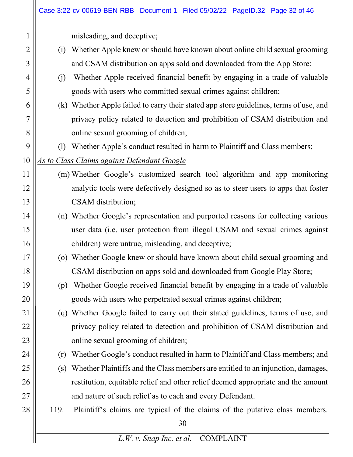|    |      | Case 3:22-cv-00619-BEN-RBB Document 1 Filed 05/02/22 PageID.32 Page 32 of 46           |
|----|------|----------------------------------------------------------------------------------------|
|    |      | misleading, and deceptive;                                                             |
| 2  | (i)  | Whether Apple knew or should have known about online child sexual grooming             |
| 3  |      | and CSAM distribution on apps sold and downloaded from the App Store;                  |
| 4  | (j)  | Whether Apple received financial benefit by engaging in a trade of valuable            |
| 5  |      | goods with users who committed sexual crimes against children;                         |
| 6  |      | (k) Whether Apple failed to carry their stated app store guidelines, terms of use, and |
| 7  |      | privacy policy related to detection and prohibition of CSAM distribution and           |
| 8  |      | online sexual grooming of children;                                                    |
| 9  |      | (1) Whether Apple's conduct resulted in harm to Plaintiff and Class members;           |
| 10 |      | <b>As to Class Claims against Defendant Google</b>                                     |
| 11 |      | (m) Whether Google's customized search tool algorithm and app monitoring               |
| 12 |      | analytic tools were defectively designed so as to steer users to apps that foster      |
| 13 |      | CSAM distribution;                                                                     |
| 14 |      | (n) Whether Google's representation and purported reasons for collecting various       |
| 15 |      | user data (i.e. user protection from illegal CSAM and sexual crimes against            |
| 16 |      | children) were untrue, misleading, and deceptive;                                      |
| 17 |      | (o) Whether Google knew or should have known about child sexual grooming and           |
| 18 |      | CSAM distribution on apps sold and downloaded from Google Play Store;                  |
| 19 | (p)  | Whether Google received financial benefit by engaging in a trade of valuable           |
| 20 |      | goods with users who perpetrated sexual crimes against children;                       |
| 21 | (q)  | Whether Google failed to carry out their stated guidelines, terms of use, and          |
| 22 |      | privacy policy related to detection and prohibition of CSAM distribution and           |
| 23 |      | online sexual grooming of children;                                                    |
| 24 | (r)  | Whether Google's conduct resulted in harm to Plaintiff and Class members; and          |
| 25 | (s)  | Whether Plaintiffs and the Class members are entitled to an injunction, damages,       |
| 26 |      | restitution, equitable relief and other relief deemed appropriate and the amount       |
| 27 |      | and nature of such relief as to each and every Defendant.                              |
| 28 | 119. | Plaintiff's claims are typical of the claims of the putative class members.            |
|    |      | 30                                                                                     |
|    |      | L.W. v. Snap Inc. et al. - COMPLAINT                                                   |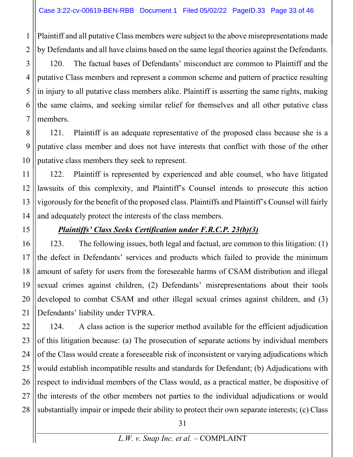Plaintiff and all putative Class members were subject to the above misrepresentations made by Defendants and all have claims based on the same legal theories against the Defendants.

3 4 120. The factual bases of Defendants' misconduct are common to Plaintiff and the putative Class members and represent a common scheme and pattern of practice resulting in injury to all putative class members alike. Plaintiff is asserting the same rights, making the same claims, and seeking similar relief for themselves and all other putative class members.

121. Plaintiff is an adequate representative of the proposed class because she is a putative class member and does not have interests that conflict with those of the other putative class members they seek to represent.

122. Plaintiff is represented by experienced and able counsel, who have litigated lawsuits of this complexity, and Plaintiff's Counsel intends to prosecute this action vigorously for the benefit of the proposed class. Plaintiffs and Plaintiff's Counsel will fairly and adequately protect the interests of the class members.

## *Plaintiffs' Class Seeks Certification under F.R.C.P. 23(b)(3)*

123. The following issues, both legal and factual, are common to this litigation: (1) the defect in Defendants' services and products which failed to provide the minimum amount of safety for users from the foreseeable harms of CSAM distribution and illegal sexual crimes against children, (2) Defendants' misrepresentations about their tools developed to combat CSAM and other illegal sexual crimes against children, and (3) Defendants' liability under TVPRA.

124. A class action is the superior method available for the efficient adjudication of this litigation because: (a) The prosecution of separate actions by individual members of the Class would create a foreseeable risk of inconsistent or varying adjudications which would establish incompatible results and standards for Defendant; (b) Adjudications with respect to individual members of the Class would, as a practical matter, be dispositive of the interests of the other members not parties to the individual adjudications or would substantially impair or impede their ability to protect their own separate interests; (c) Class

1

2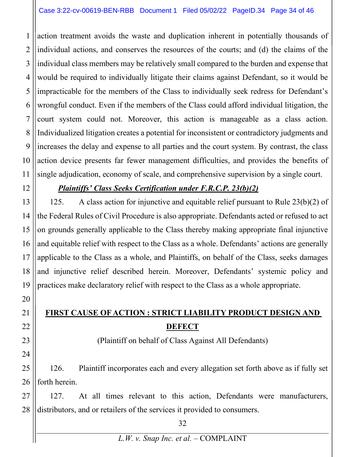#### Case 3:22-cv-00619-BEN-RBB Document 1 Filed 05/02/22 PageID.34 Page 34 of 46

1 2 3 4 5 6 7 8 9 10 11 action treatment avoids the waste and duplication inherent in potentially thousands of individual actions, and conserves the resources of the courts; and (d) the claims of the individual class members may be relatively small compared to the burden and expense that would be required to individually litigate their claims against Defendant, so it would be impracticable for the members of the Class to individually seek redress for Defendant's wrongful conduct. Even if the members of the Class could afford individual litigation, the court system could not. Moreover, this action is manageable as a class action. Individualized litigation creates a potential for inconsistent or contradictory judgments and increases the delay and expense to all parties and the court system. By contrast, the class action device presents far fewer management difficulties, and provides the benefits of single adjudication, economy of scale, and comprehensive supervision by a single court.

12

20

21

22

23

24

#### *Plaintiffs' Class Seeks Certification under F.R.C.P. 23(b)(2)*

13 14 15 16 17 18 19 125. A class action for injunctive and equitable relief pursuant to Rule 23(b)(2) of the Federal Rules of Civil Procedure is also appropriate. Defendants acted or refused to act on grounds generally applicable to the Class thereby making appropriate final injunctive and equitable relief with respect to the Class as a whole. Defendants' actions are generally applicable to the Class as a whole, and Plaintiffs, on behalf of the Class, seeks damages and injunctive relief described herein. Moreover, Defendants' systemic policy and practices make declaratory relief with respect to the Class as a whole appropriate.

## **FIRST CAUSE OF ACTION : STRICT LIABILITY PRODUCT DESIGN AND DEFECT**

(Plaintiff on behalf of Class Against All Defendants)

25 26 126. Plaintiff incorporates each and every allegation set forth above as if fully set forth herein.

27 28 127. At all times relevant to this action, Defendants were manufacturers, distributors, and or retailers of the services it provided to consumers.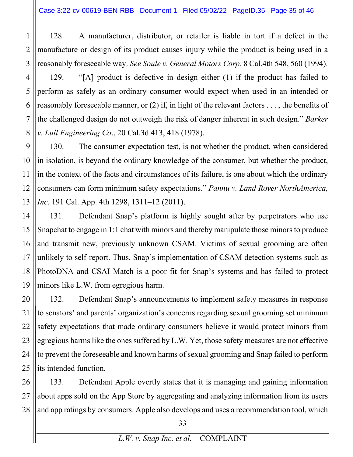1

2

3

128. A manufacturer, distributor, or retailer is liable in tort if a defect in the manufacture or design of its product causes injury while the product is being used in a reasonably foreseeable way. *See Soule v. General Motors Corp*. 8 Cal.4th 548, 560 (1994).

4 5 6 7 8 129. "[A] product is defective in design either (1) if the product has failed to perform as safely as an ordinary consumer would expect when used in an intended or reasonably foreseeable manner, or (2) if, in light of the relevant factors . . . , the benefits of the challenged design do not outweigh the risk of danger inherent in such design." *Barker v. Lull Engineering Co*., 20 Cal.3d 413, 418 (1978).

9 10 11 12 13 130. The consumer expectation test, is not whether the product, when considered in isolation, is beyond the ordinary knowledge of the consumer, but whether the product, in the context of the facts and circumstances of its failure, is one about which the ordinary consumers can form minimum safety expectations." *Pannu v. Land Rover NorthAmerica, Inc*. 191 Cal. App. 4th 1298, 1311–12 (2011).

14 15 16 17 18 19 131. Defendant Snap's platform is highly sought after by perpetrators who use Snapchat to engage in 1:1 chat with minors and thereby manipulate those minors to produce and transmit new, previously unknown CSAM. Victims of sexual grooming are often unlikely to self-report. Thus, Snap's implementation of CSAM detection systems such as PhotoDNA and CSAI Match is a poor fit for Snap's systems and has failed to protect minors like L.W. from egregious harm.

20 21 22 23 24 25 132. Defendant Snap's announcements to implement safety measures in response to senators' and parents' organization's concerns regarding sexual grooming set minimum safety expectations that made ordinary consumers believe it would protect minors from egregious harms like the ones suffered by L.W. Yet, those safety measures are not effective to prevent the foreseeable and known harms of sexual grooming and Snap failed to perform its intended function.

26 27 28 133. Defendant Apple overtly states that it is managing and gaining information about apps sold on the App Store by aggregating and analyzing information from its users and app ratings by consumers. Apple also develops and uses a recommendation tool, which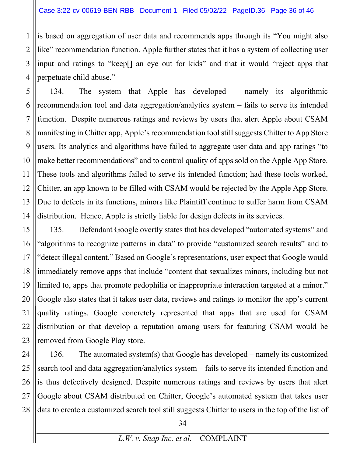1

2

3 4 is based on aggregation of user data and recommends apps through its "You might also like" recommendation function. Apple further states that it has a system of collecting user input and ratings to "keep[] an eye out for kids" and that it would "reject apps that perpetuate child abuse."

5 6 7 8 9 10 11 12 13 14 134. The system that Apple has developed – namely its algorithmic recommendation tool and data aggregation/analytics system – fails to serve its intended function. Despite numerous ratings and reviews by users that alert Apple about CSAM manifesting in Chitter app, Apple's recommendation tool still suggests Chitter to App Store users. Its analytics and algorithms have failed to aggregate user data and app ratings "to make better recommendations" and to control quality of apps sold on the Apple App Store. These tools and algorithms failed to serve its intended function; had these tools worked, Chitter, an app known to be filled with CSAM would be rejected by the Apple App Store. Due to defects in its functions, minors like Plaintiff continue to suffer harm from CSAM distribution. Hence, Apple is strictly liable for design defects in its services.

15 16 17 18 19 20 21 22 23 135. Defendant Google overtly states that has developed "automated systems" and "algorithms to recognize patterns in data" to provide "customized search results" and to "detect illegal content." Based on Google's representations, user expect that Google would immediately remove apps that include "content that sexualizes minors, including but not limited to, apps that promote pedophilia or inappropriate interaction targeted at a minor." Google also states that it takes user data, reviews and ratings to monitor the app's current quality ratings. Google concretely represented that apps that are used for CSAM distribution or that develop a reputation among users for featuring CSAM would be removed from Google Play store.

24 25 26 27 28 136. The automated system(s) that Google has developed – namely its customized search tool and data aggregation/analytics system – fails to serve its intended function and is thus defectively designed. Despite numerous ratings and reviews by users that alert Google about CSAM distributed on Chitter, Google's automated system that takes user data to create a customized search tool still suggests Chitter to users in the top of the list of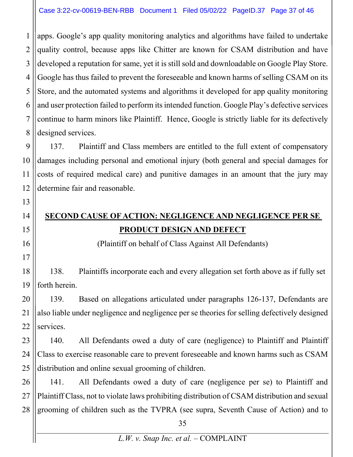1 2 3 apps. Google's app quality monitoring analytics and algorithms have failed to undertake quality control, because apps like Chitter are known for CSAM distribution and have developed a reputation for same, yet it is still sold and downloadable on Google Play Store. Google has thus failed to prevent the foreseeable and known harms of selling CSAM on its Store, and the automated systems and algorithms it developed for app quality monitoring and user protection failed to perform its intended function. Google Play's defective services continue to harm minors like Plaintiff. Hence, Google is strictly liable for its defectively designed services.

137. Plaintiff and Class members are entitled to the full extent of compensatory damages including personal and emotional injury (both general and special damages for costs of required medical care) and punitive damages in an amount that the jury may determine fair and reasonable.

# **SECOND CAUSE OF ACTION: NEGLIGENCE AND NEGLIGENCE PER SE PRODUCT DESIGN AND DEFECT**

(Plaintiff on behalf of Class Against All Defendants)

138. Plaintiffs incorporate each and every allegation set forth above as if fully set forth herein.

139. Based on allegations articulated under paragraphs 126-137, Defendants are also liable under negligence and negligence per se theories for selling defectively designed services.

140. All Defendants owed a duty of care (negligence) to Plaintiff and Plaintiff Class to exercise reasonable care to prevent foreseeable and known harms such as CSAM distribution and online sexual grooming of children.

27 28 141. All Defendants owed a duty of care (negligence per se) to Plaintiff and Plaintiff Class, not to violate laws prohibiting distribution of CSAM distribution and sexual grooming of children such as the TVPRA (see supra, Seventh Cause of Action) and to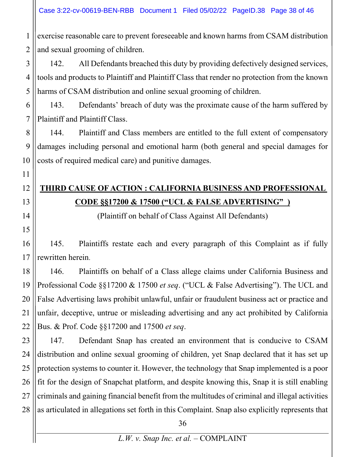exercise reasonable care to prevent foreseeable and known harms from CSAM distribution and sexual grooming of children.

142. All Defendants breached this duty by providing defectively designed services, tools and products to Plaintiff and Plaintiff Class that render no protection from the known harms of CSAM distribution and online sexual grooming of children.

143. Defendants' breach of duty was the proximate cause of the harm suffered by Plaintiff and Plaintiff Class.

144. Plaintiff and Class members are entitled to the full extent of compensatory damages including personal and emotional harm (both general and special damages for costs of required medical care) and punitive damages.

# **THIRD CAUSE OF ACTION : CALIFORNIA BUSINESS AND PROFESSIONAL CODE §§17200 & 17500 ("UCL & FALSE ADVERTISING"\_)**

(Plaintiff on behalf of Class Against All Defendants)

145. Plaintiffs restate each and every paragraph of this Complaint as if fully rewritten herein.

146. Plaintiffs on behalf of a Class allege claims under California Business and Professional Code §§17200 & 17500 *et seq*. ("UCL & False Advertising"). The UCL and False Advertising laws prohibit unlawful, unfair or fraudulent business act or practice and unfair, deceptive, untrue or misleading advertising and any act prohibited by California Bus. & Prof. Code §§17200 and 17500 *et seq*.

28 147. Defendant Snap has created an environment that is conducive to CSAM distribution and online sexual grooming of children, yet Snap declared that it has set up protection systems to counter it. However, the technology that Snap implemented is a poor fit for the design of Snapchat platform, and despite knowing this, Snap it is still enabling criminals and gaining financial benefit from the multitudes of criminal and illegal activities as articulated in allegations set forth in this Complaint. Snap also explicitly represents that

1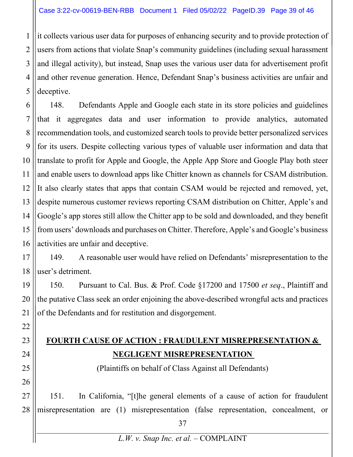1 2 3 4 5 it collects various user data for purposes of enhancing security and to provide protection of users from actions that violate Snap's community guidelines (including sexual harassment and illegal activity), but instead, Snap uses the various user data for advertisement profit and other revenue generation. Hence, Defendant Snap's business activities are unfair and deceptive.

6 7 8 9 10 11 12 13 14 15 16 148. Defendants Apple and Google each state in its store policies and guidelines that it aggregates data and user information to provide analytics, automated recommendation tools, and customized search tools to provide better personalized services for its users. Despite collecting various types of valuable user information and data that translate to profit for Apple and Google, the Apple App Store and Google Play both steer and enable users to download apps like Chitter known as channels for CSAM distribution. It also clearly states that apps that contain CSAM would be rejected and removed, yet, despite numerous customer reviews reporting CSAM distribution on Chitter, Apple's and Google's app stores still allow the Chitter app to be sold and downloaded, and they benefit from users' downloads and purchases on Chitter. Therefore, Apple's and Google's business activities are unfair and deceptive.

17 18 149. A reasonable user would have relied on Defendants' misrepresentation to the user's detriment.

19 20 21 150. Pursuant to Cal. Bus. & Prof. Code §17200 and 17500 *et seq*., Plaintiff and the putative Class seek an order enjoining the above-described wrongful acts and practices of the Defendants and for restitution and disgorgement.

22

23

24

25

26

# **FOURTH CAUSE OF ACTION : FRAUDULENT MISREPRESENTATION & NEGLIGENT MISREPRESENTATION**

(Plaintiffs on behalf of Class Against all Defendants)

27 28 151. In California, "[t]he general elements of a cause of action for fraudulent misrepresentation are (1) misrepresentation (false representation, concealment, or

*L.W. v. Snap Inc. et al.* – COMPLAINT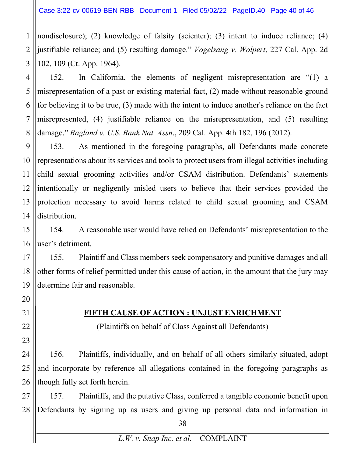1 2 3 nondisclosure); (2) knowledge of falsity (scienter); (3) intent to induce reliance; (4) justifiable reliance; and (5) resulting damage." *Vogelsang v. Wolpert*, 227 Cal. App. 2d 102, 109 (Ct. App. 1964).

4 5 6 7 8 152. In California, the elements of negligent misrepresentation are "(1) a misrepresentation of a past or existing material fact, (2) made without reasonable ground for believing it to be true, (3) made with the intent to induce another's reliance on the fact misrepresented, (4) justifiable reliance on the misrepresentation, and (5) resulting damage." *Ragland v. U.S. Bank Nat. Assn*., 209 Cal. App. 4th 182, 196 (2012).

9 10 11 12 13 14 153. As mentioned in the foregoing paragraphs, all Defendants made concrete representations about its services and tools to protect users from illegal activities including child sexual grooming activities and/or CSAM distribution. Defendants' statements intentionally or negligently misled users to believe that their services provided the protection necessary to avoid harms related to child sexual grooming and CSAM distribution.

15 16 154. A reasonable user would have relied on Defendants' misrepresentation to the user's detriment.

17 18 19 155. Plaintiff and Class members seek compensatory and punitive damages and all other forms of relief permitted under this cause of action, in the amount that the jury may determine fair and reasonable.

20

21

22

23

### **FIFTH CAUSE OF ACTION : UNJUST ENRICHMENT**

(Plaintiffs on behalf of Class Against all Defendants)

24 25 26 156. Plaintiffs, individually, and on behalf of all others similarly situated, adopt and incorporate by reference all allegations contained in the foregoing paragraphs as though fully set forth herein.

27 28 157. Plaintiffs, and the putative Class, conferred a tangible economic benefit upon Defendants by signing up as users and giving up personal data and information in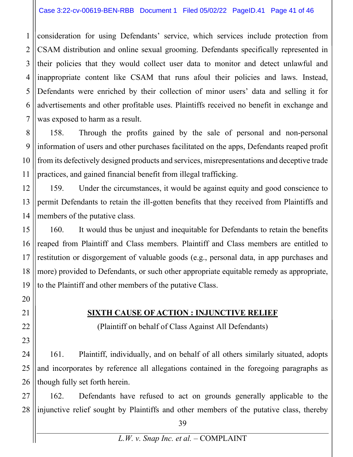#### Case 3:22-cv-00619-BEN-RBB Document 1 Filed 05/02/22 PageID.41 Page 41 of 46

1 2 3 4 5 6 7 consideration for using Defendants' service, which services include protection from CSAM distribution and online sexual grooming. Defendants specifically represented in their policies that they would collect user data to monitor and detect unlawful and inappropriate content like CSAM that runs afoul their policies and laws. Instead, Defendants were enriched by their collection of minor users' data and selling it for advertisements and other profitable uses. Plaintiffs received no benefit in exchange and was exposed to harm as a result.

158. Through the profits gained by the sale of personal and non-personal information of users and other purchases facilitated on the apps, Defendants reaped profit from its defectively designed products and services, misrepresentations and deceptive trade practices, and gained financial benefit from illegal trafficking.

159. Under the circumstances, it would be against equity and good conscience to permit Defendants to retain the ill-gotten benefits that they received from Plaintiffs and members of the putative class.

160. It would thus be unjust and inequitable for Defendants to retain the benefits reaped from Plaintiff and Class members. Plaintiff and Class members are entitled to restitution or disgorgement of valuable goods (e.g., personal data, in app purchases and more) provided to Defendants, or such other appropriate equitable remedy as appropriate, to the Plaintiff and other members of the putative Class.

#### **SIXTH CAUSE OF ACTION : INJUNCTIVE RELIEF**

(Plaintiff on behalf of Class Against All Defendants)

161. Plaintiff, individually, and on behalf of all others similarly situated, adopts and incorporates by reference all allegations contained in the foregoing paragraphs as though fully set forth herein.

162. Defendants have refused to act on grounds generally applicable to the injunctive relief sought by Plaintiffs and other members of the putative class, thereby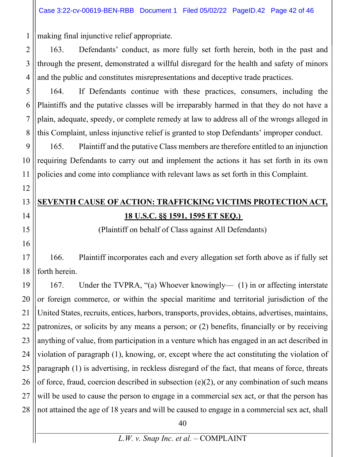making final injunctive relief appropriate.

2 163. Defendants' conduct, as more fully set forth herein, both in the past and through the present, demonstrated a willful disregard for the health and safety of minors and the public and constitutes misrepresentations and deceptive trade practices.

164. If Defendants continue with these practices, consumers, including the Plaintiffs and the putative classes will be irreparably harmed in that they do not have a plain, adequate, speedy, or complete remedy at law to address all of the wrongs alleged in this Complaint, unless injunctive relief is granted to stop Defendants' improper conduct.

165. Plaintiff and the putative Class members are therefore entitled to an injunction requiring Defendants to carry out and implement the actions it has set forth in its own policies and come into compliance with relevant laws as set forth in this Complaint.

# **SEVENTH CAUSE OF ACTION: TRAFFICKING VICTIMS PROTECTION ACT, 18 U.S.C. §§ 1591, 1595 ET SEQ.)**

(Plaintiff on behalf of Class against All Defendants)

166. Plaintiff incorporates each and every allegation set forth above as if fully set forth herein.

25 26 27 28 167. Under the TVPRA, "(a) Whoever knowingly— (1) in or affecting interstate or foreign commerce, or within the special maritime and territorial jurisdiction of the United States, recruits, entices, harbors, transports, provides, obtains, advertises, maintains, patronizes, or solicits by any means a person; or (2) benefits, financially or by receiving anything of value, from participation in a venture which has engaged in an act described in violation of paragraph (1), knowing, or, except where the act constituting the violation of paragraph (1) is advertising, in reckless disregard of the fact, that means of force, threats of force, fraud, coercion described in subsection  $(e)(2)$ , or any combination of such means will be used to cause the person to engage in a commercial sex act, or that the person has not attained the age of 18 years and will be caused to engage in a commercial sex act, shall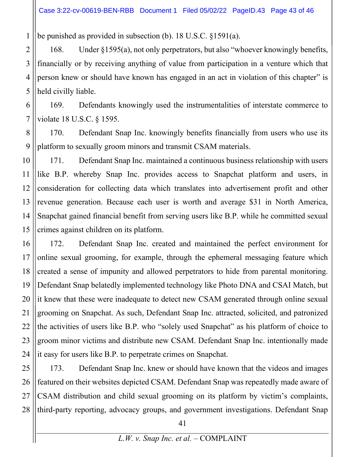be punished as provided in subsection (b). 18 U.S.C. §1591(a).

1

2 3 4 5 168. Under §1595(a), not only perpetrators, but also "whoever knowingly benefits, financially or by receiving anything of value from participation in a venture which that person knew or should have known has engaged in an act in violation of this chapter" is held civilly liable.

6 7 169. Defendants knowingly used the instrumentalities of interstate commerce to violate 18 U.S.C. § 1595.

8 9 170. Defendant Snap Inc. knowingly benefits financially from users who use its platform to sexually groom minors and transmit CSAM materials.

10 11 12 13 14 15 171. Defendant Snap Inc. maintained a continuous business relationship with users like B.P. whereby Snap Inc. provides access to Snapchat platform and users, in consideration for collecting data which translates into advertisement profit and other revenue generation. Because each user is worth and average \$31 in North America, Snapchat gained financial benefit from serving users like B.P. while he committed sexual crimes against children on its platform.

16 17 18 19 20 21 22 23 24 172. Defendant Snap Inc. created and maintained the perfect environment for online sexual grooming, for example, through the ephemeral messaging feature which created a sense of impunity and allowed perpetrators to hide from parental monitoring. Defendant Snap belatedly implemented technology like Photo DNA and CSAI Match, but it knew that these were inadequate to detect new CSAM generated through online sexual grooming on Snapchat. As such, Defendant Snap Inc. attracted, solicited, and patronized the activities of users like B.P. who "solely used Snapchat" as his platform of choice to groom minor victims and distribute new CSAM. Defendant Snap Inc. intentionally made it easy for users like B.P. to perpetrate crimes on Snapchat.

25 26 27 28 173. Defendant Snap Inc. knew or should have known that the videos and images featured on their websites depicted CSAM. Defendant Snap was repeatedly made aware of CSAM distribution and child sexual grooming on its platform by victim's complaints, third-party reporting, advocacy groups, and government investigations. Defendant Snap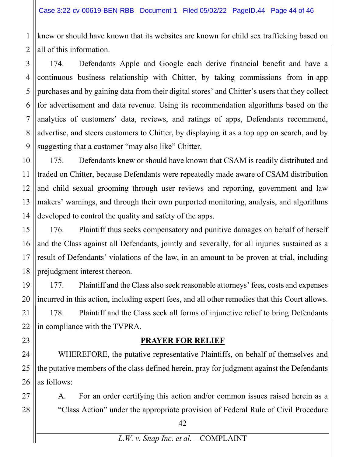2 knew or should have known that its websites are known for child sex trafficking based on all of this information.

3 4 5 6 7 8 9 174. Defendants Apple and Google each derive financial benefit and have a continuous business relationship with Chitter, by taking commissions from in-app purchases and by gaining data from their digital stores' and Chitter's users that they collect for advertisement and data revenue. Using its recommendation algorithms based on the analytics of customers' data, reviews, and ratings of apps, Defendants recommend, advertise, and steers customers to Chitter, by displaying it as a top app on search, and by suggesting that a customer "may also like" Chitter.

10 11 12 13 14 175. Defendants knew or should have known that CSAM is readily distributed and traded on Chitter, because Defendants were repeatedly made aware of CSAM distribution and child sexual grooming through user reviews and reporting, government and law makers' warnings, and through their own purported monitoring, analysis, and algorithms developed to control the quality and safety of the apps.

15 16 17 18 176. Plaintiff thus seeks compensatory and punitive damages on behalf of herself and the Class against all Defendants, jointly and severally, for all injuries sustained as a result of Defendants' violations of the law, in an amount to be proven at trial, including prejudgment interest thereon.

19 20 21 22 177. Plaintiff and the Class also seek reasonable attorneys' fees, costs and expenses incurred in this action, including expert fees, and all other remedies that this Court allows. 178. Plaintiff and the Class seek all forms of injunctive relief to bring Defendants in compliance with the TVPRA.

#### **PRAYER FOR RELIEF**

24 26 WHEREFORE, the putative representative Plaintiffs, on behalf of themselves and the putative members of the class defined herein, pray for judgment against the Defendants as follows:

A. For an order certifying this action and/or common issues raised herein as a "Class Action" under the appropriate provision of Federal Rule of Civil Procedure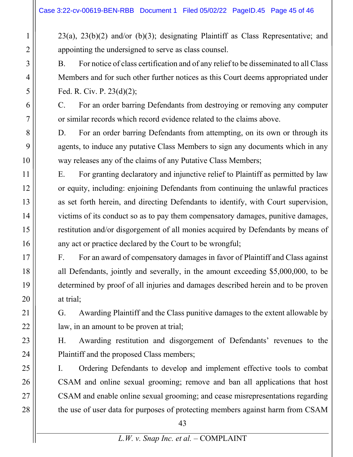23(a), 23(b)(2) and/or (b)(3); designating Plaintiff as Class Representative; and appointing the undersigned to serve as class counsel.

B. For notice of class certification and of any relief to be disseminated to all Class Members and for such other further notices as this Court deems appropriated under Fed. R. Civ. P. 23(d)(2);

C. For an order barring Defendants from destroying or removing any computer or similar records which record evidence related to the claims above.

D. For an order barring Defendants from attempting, on its own or through its agents, to induce any putative Class Members to sign any documents which in any way releases any of the claims of any Putative Class Members;

E. For granting declaratory and injunctive relief to Plaintiff as permitted by law or equity, including: enjoining Defendants from continuing the unlawful practices as set forth herein, and directing Defendants to identify, with Court supervision, victims of its conduct so as to pay them compensatory damages, punitive damages, restitution and/or disgorgement of all monies acquired by Defendants by means of any act or practice declared by the Court to be wrongful;

F. For an award of compensatory damages in favor of Plaintiff and Class against all Defendants, jointly and severally, in the amount exceeding \$5,000,000, to be determined by proof of all injuries and damages described herein and to be proven at trial;

G. Awarding Plaintiff and the Class punitive damages to the extent allowable by law, in an amount to be proven at trial;

H. Awarding restitution and disgorgement of Defendants' revenues to the Plaintiff and the proposed Class members;

I. Ordering Defendants to develop and implement effective tools to combat CSAM and online sexual grooming; remove and ban all applications that host CSAM and enable online sexual grooming; and cease misrepresentations regarding the use of user data for purposes of protecting members against harm from CSAM